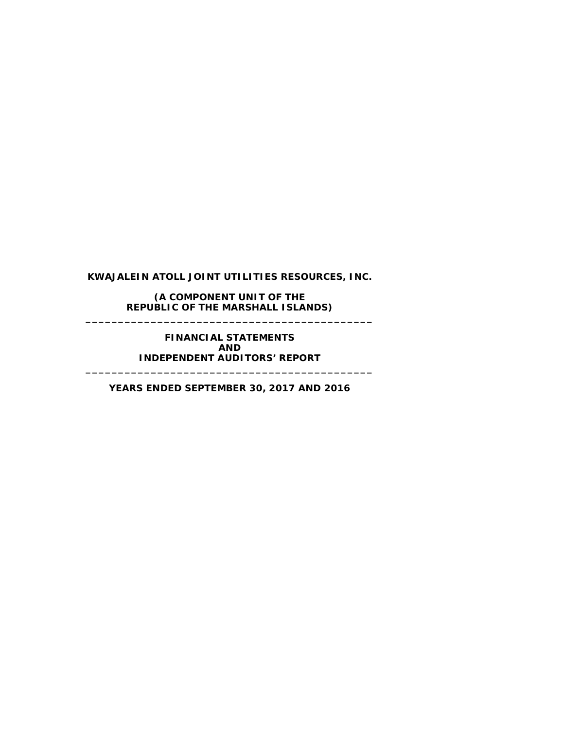**(A COMPONENT UNIT OF THE REPUBLIC OF THE MARSHALL ISLANDS) \_\_\_\_\_\_\_\_\_\_\_\_\_\_\_\_\_\_\_\_\_\_\_\_\_\_\_\_\_\_\_\_\_\_\_\_\_\_\_\_\_\_\_\_**

> **FINANCIAL STATEMENTS AND INDEPENDENT AUDITORS' REPORT**

**YEARS ENDED SEPTEMBER 30, 2017 AND 2016**

**\_\_\_\_\_\_\_\_\_\_\_\_\_\_\_\_\_\_\_\_\_\_\_\_\_\_\_\_\_\_\_\_\_\_\_\_\_\_\_\_\_\_\_\_**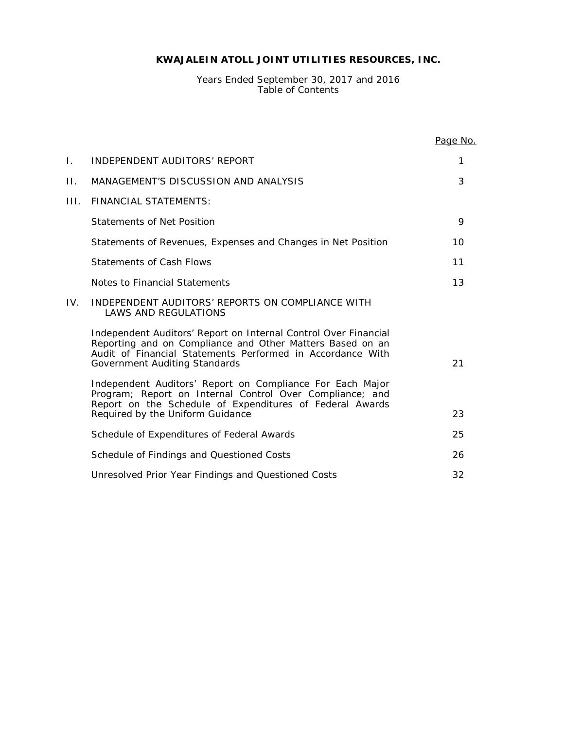Years Ended September 30, 2017 and 2016 Table of Contents

|     |                                                                                                                                                                                                                                    | Page No. |
|-----|------------------------------------------------------------------------------------------------------------------------------------------------------------------------------------------------------------------------------------|----------|
| Ι.  | INDEPENDENT AUDITORS' REPORT                                                                                                                                                                                                       | 1        |
| П.  | MANAGEMENT'S DISCUSSION AND ANALYSIS                                                                                                                                                                                               | 3        |
| HL. | <b>FINANCIAL STATEMENTS:</b>                                                                                                                                                                                                       |          |
|     | Statements of Net Position                                                                                                                                                                                                         | 9        |
|     | Statements of Revenues, Expenses and Changes in Net Position                                                                                                                                                                       | 10       |
|     | <b>Statements of Cash Flows</b>                                                                                                                                                                                                    | 11       |
|     | Notes to Financial Statements                                                                                                                                                                                                      | 13       |
| IV. | INDEPENDENT AUDITORS' REPORTS ON COMPLIANCE WITH<br><b>LAWS AND REGULATIONS</b>                                                                                                                                                    |          |
|     | Independent Auditors' Report on Internal Control Over Financial<br>Reporting and on Compliance and Other Matters Based on an<br>Audit of Financial Statements Performed in Accordance With<br><b>Government Auditing Standards</b> | 21       |
|     | Independent Auditors' Report on Compliance For Each Major<br>Program; Report on Internal Control Over Compliance; and<br>Report on the Schedule of Expenditures of Federal Awards<br>Required by the Uniform Guidance              | 23       |
|     | Schedule of Expenditures of Federal Awards                                                                                                                                                                                         | 25       |
|     | Schedule of Findings and Questioned Costs                                                                                                                                                                                          | 26       |
|     | Unresolved Prior Year Findings and Questioned Costs                                                                                                                                                                                | 32       |
|     |                                                                                                                                                                                                                                    |          |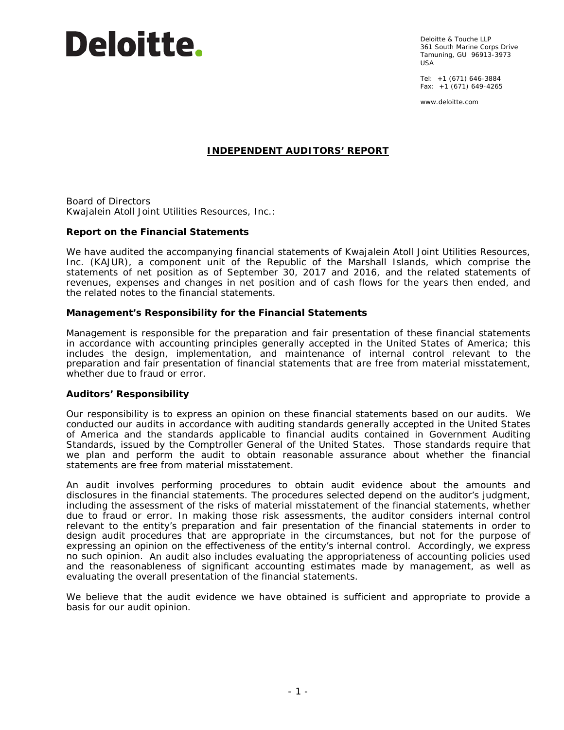

Deloitte & Touche LLP 361 South Marine Corps Drive Tamuning, GU 96913-3973 USA

Tel: +1 (671) 646-3884 Fax: +1 (671) 649-4265

www.deloitte.com

## **INDEPENDENT AUDITORS' REPORT**

Board of Directors Kwajalein Atoll Joint Utilities Resources, Inc.:

## **Report on the Financial Statements**

We have audited the accompanying financial statements of Kwajalein Atoll Joint Utilities Resources, Inc. (KAJUR), a component unit of the Republic of the Marshall Islands, which comprise the statements of net position as of September 30, 2017 and 2016, and the related statements of revenues, expenses and changes in net position and of cash flows for the years then ended, and the related notes to the financial statements.

#### *Management's Responsibility for the Financial Statements*

Management is responsible for the preparation and fair presentation of these financial statements in accordance with accounting principles generally accepted in the United States of America; this includes the design, implementation, and maintenance of internal control relevant to the preparation and fair presentation of financial statements that are free from material misstatement, whether due to fraud or error.

## *Auditors' Responsibility*

Our responsibility is to express an opinion on these financial statements based on our audits. We conducted our audits in accordance with auditing standards generally accepted in the United States of America and the standards applicable to financial audits contained in *Government Auditing Standards,* issued by the Comptroller General of the United States. Those standards require that we plan and perform the audit to obtain reasonable assurance about whether the financial statements are free from material misstatement.

An audit involves performing procedures to obtain audit evidence about the amounts and disclosures in the financial statements. The procedures selected depend on the auditor's judgment, including the assessment of the risks of material misstatement of the financial statements, whether due to fraud or error. In making those risk assessments, the auditor considers internal control relevant to the entity's preparation and fair presentation of the financial statements in order to design audit procedures that are appropriate in the circumstances, but not for the purpose of expressing an opinion on the effectiveness of the entity's internal control. Accordingly, we express no such opinion. An audit also includes evaluating the appropriateness of accounting policies used and the reasonableness of significant accounting estimates made by management, as well as evaluating the overall presentation of the financial statements.

We believe that the audit evidence we have obtained is sufficient and appropriate to provide a basis for our audit opinion.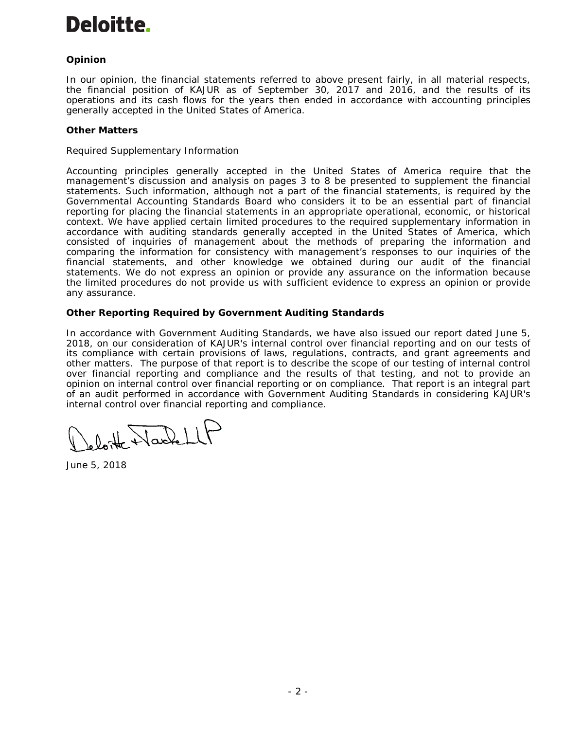# Deloitte.

## *Opinion*

In our opinion, the financial statements referred to above present fairly, in all material respects, the financial position of KAJUR as of September 30, 2017 and 2016, and the results of its operations and its cash flows for the years then ended in accordance with accounting principles generally accepted in the United States of America.

## *Other Matters*

## *Required Supplementary Information*

Accounting principles generally accepted in the United States of America require that the management's discussion and analysis on pages 3 to 8 be presented to supplement the financial statements. Such information, although not a part of the financial statements, is required by the Governmental Accounting Standards Board who considers it to be an essential part of financial reporting for placing the financial statements in an appropriate operational, economic, or historical context. We have applied certain limited procedures to the required supplementary information in accordance with auditing standards generally accepted in the United States of America, which consisted of inquiries of management about the methods of preparing the information and comparing the information for consistency with management's responses to our inquiries of the financial statements, and other knowledge we obtained during our audit of the financial statements. We do not express an opinion or provide any assurance on the information because the limited procedures do not provide us with sufficient evidence to express an opinion or provide any assurance.

## **Other Reporting Required by** *Government Auditing Standards*

In accordance with *Government Auditing Standards*, we have also issued our report dated June 5, 2018, on our consideration of KAJUR's internal control over financial reporting and on our tests of its compliance with certain provisions of laws, regulations, contracts, and grant agreements and other matters. The purpose of that report is to describe the scope of our testing of internal control over financial reporting and compliance and the results of that testing, and not to provide an opinion on internal control over financial reporting or on compliance. That report is an integral part of an audit performed in accordance with *Government Auditing Standards* in considering KAJUR's internal control over financial reporting and compliance.

loith Wardell

June 5, 2018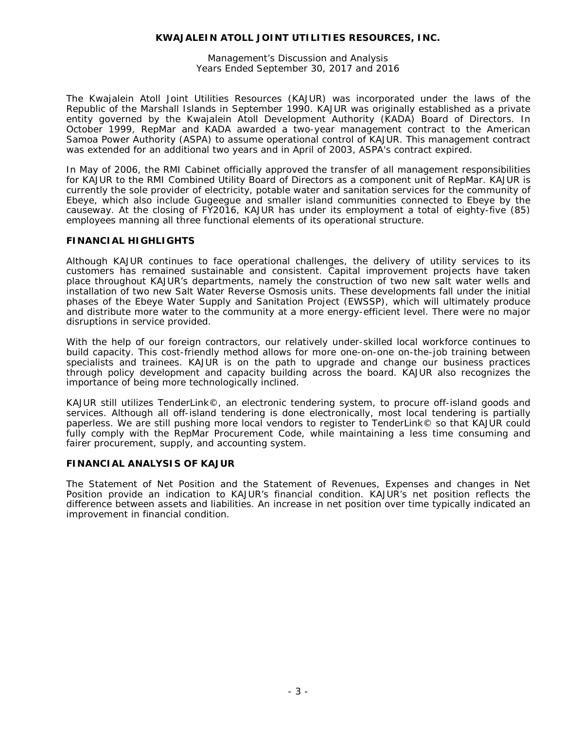Management's Discussion and Analysis Years Ended September 30, 2017 and 2016

The Kwajalein Atoll Joint Utilities Resources (KAJUR) was incorporated under the laws of the Republic of the Marshall Islands in September 1990. KAJUR was originally established as a private entity governed by the Kwajalein Atoll Development Authority (KADA) Board of Directors. In October 1999, RepMar and KADA awarded a two-year management contract to the American Samoa Power Authority (ASPA) to assume operational control of KAJUR. This management contract was extended for an additional two years and in April of 2003, ASPA's contract expired.

In May of 2006, the RMI Cabinet officially approved the transfer of all management responsibilities for KAJUR to the RMI Combined Utility Board of Directors as a component unit of RepMar. KAJUR is currently the sole provider of electricity, potable water and sanitation services for the community of Ebeye, which also include Gugeegue and smaller island communities connected to Ebeye by the causeway. At the closing of FY2016, KAJUR has under its employment a total of eighty-five (85) employees manning all three functional elements of its operational structure.

## **FINANCIAL HIGHLIGHTS**

Although KAJUR continues to face operational challenges, the delivery of utility services to its customers has remained sustainable and consistent. Capital improvement projects have taken place throughout KAJUR's departments, namely the construction of two new salt water wells and installation of two new Salt Water Reverse Osmosis units. These developments fall under the initial phases of the Ebeye Water Supply and Sanitation Project (EWSSP), which will ultimately produce and distribute more water to the community at a more energy-efficient level. There were no major disruptions in service provided.

With the help of our foreign contractors, our relatively under-skilled local workforce continues to build capacity. This cost-friendly method allows for more one-on-one on-the-job training between specialists and trainees. KAJUR is on the path to upgrade and change our business practices through policy development and capacity building across the board. KAJUR also recognizes the importance of being more technologically inclined.

KAJUR still utilizes TenderLink©, an electronic tendering system, to procure off-island goods and services. Although all off-island tendering is done electronically, most local tendering is partially paperless. We are still pushing more local vendors to register to TenderLink© so that KAJUR could fully comply with the RepMar Procurement Code, while maintaining a less time consuming and fairer procurement, supply, and accounting system.

## **FINANCIAL ANALYSIS OF KAJUR**

The Statement of Net Position and the Statement of Revenues, Expenses and changes in Net Position provide an indication to KAJUR's financial condition. KAJUR's net position reflects the difference between assets and liabilities. An increase in net position over time typically indicated an improvement in financial condition.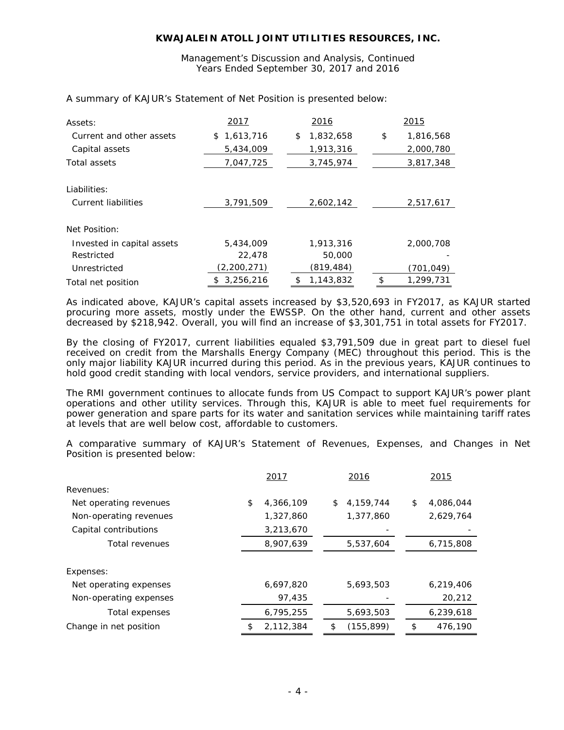Management's Discussion and Analysis, Continued Years Ended September 30, 2017 and 2016

A summary of KAJUR's Statement of Net Position is presented below:

| Assets:                             | 2017            | 2016            | 2015            |
|-------------------------------------|-----------------|-----------------|-----------------|
| Current and other assets            | 1,613,716<br>S. | \$<br>1,832,658 | \$<br>1,816,568 |
| Capital assets                      | 5,434,009       | 1,913,316       | 2,000,780       |
| Total assets                        | 7,047,725       | 3,745,974       | 3,817,348       |
| Liabilities:<br>Current liabilities | 3,791,509       | 2,602,142       | 2,517,617       |
| Net Position:                       |                 |                 |                 |
| Invested in capital assets          | 5,434,009       | 1,913,316       | 2,000,708       |
| Restricted                          | 22,478          | 50,000          |                 |
| Unrestricted                        | (2, 200, 271)   | (819, 484)      | (701,049)       |
| Total net position                  | \$3,256,216     | 1,143,832<br>\$ | \$<br>1,299,731 |

As indicated above, KAJUR's capital assets increased by \$3,520,693 in FY2017, as KAJUR started procuring more assets, mostly under the EWSSP. On the other hand, current and other assets decreased by \$218,942. Overall, you will find an increase of \$3,301,751 in total assets for FY2017.

By the closing of FY2017, current liabilities equaled \$3,791,509 due in great part to diesel fuel received on credit from the Marshalls Energy Company (MEC) throughout this period. This is the only major liability KAJUR incurred during this period. As in the previous years, KAJUR continues to hold good credit standing with local vendors, service providers, and international suppliers.

The RMI government continues to allocate funds from US Compact to support KAJUR's power plant operations and other utility services. Through this, KAJUR is able to meet fuel requirements for power generation and spare parts for its water and sanitation services while maintaining tariff rates at levels that are well below cost, affordable to customers.

A comparative summary of KAJUR's Statement of Revenues, Expenses, and Changes in Net Position is presented below:

|                        | 2017            | 2016             | 2015            |
|------------------------|-----------------|------------------|-----------------|
| Revenues:              |                 |                  |                 |
| Net operating revenues | \$<br>4,366,109 | \$<br>4,159,744  | \$<br>4,086,044 |
| Non-operating revenues | 1,327,860       | 1,377,860        | 2,629,764       |
| Capital contributions  | 3,213,670       |                  |                 |
| Total revenues         | 8,907,639       | 5,537,604        | 6,715,808       |
|                        |                 |                  |                 |
| Expenses:              |                 |                  |                 |
| Net operating expenses | 6,697,820       | 5,693,503        | 6,219,406       |
| Non-operating expenses | 97,435          |                  | 20,212          |
| Total expenses         | 6,795,255       | 5,693,503        | 6,239,618       |
| Change in net position | \$<br>2,112,384 | \$<br>(155, 899) | \$<br>476,190   |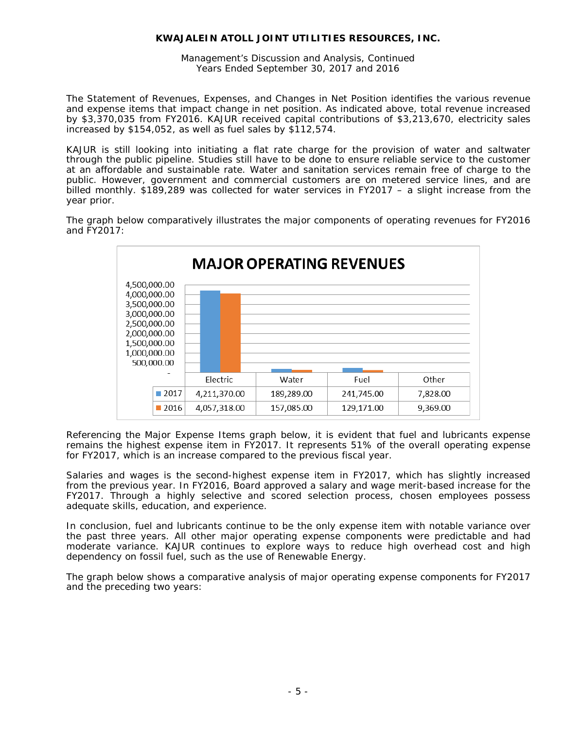Management's Discussion and Analysis, Continued Years Ended September 30, 2017 and 2016

The Statement of Revenues, Expenses, and Changes in Net Position identifies the various revenue and expense items that impact change in net position. As indicated above, total revenue increased by \$3,370,035 from FY2016. KAJUR received capital contributions of \$3,213,670, electricity sales increased by \$154,052, as well as fuel sales by \$112,574.

KAJUR is still looking into initiating a flat rate charge for the provision of water and saltwater through the public pipeline. Studies still have to be done to ensure reliable service to the customer at an affordable and sustainable rate. Water and sanitation services remain free of charge to the public. However, government and commercial customers are on metered service lines, and are billed monthly. \$189,289 was collected for water services in FY2017 – a slight increase from the year prior.

The graph below comparatively illustrates the major components of operating revenues for FY2016 and FY2017:



Referencing the Major Expense Items graph below, it is evident that fuel and lubricants expense remains the highest expense item in FY2017. It represents 51% of the overall operating expense for FY2017, which is an increase compared to the previous fiscal year.

Salaries and wages is the second-highest expense item in FY2017, which has slightly increased from the previous year. In FY2016, Board approved a salary and wage merit-based increase for the FY2017. Through a highly selective and scored selection process, chosen employees possess adequate skills, education, and experience.

In conclusion, fuel and lubricants continue to be the only expense item with notable variance over the past three years. All other major operating expense components were predictable and had moderate variance. KAJUR continues to explore ways to reduce high overhead cost and high dependency on fossil fuel, such as the use of Renewable Energy.

The graph below shows a comparative analysis of major operating expense components for FY2017 and the preceding two years: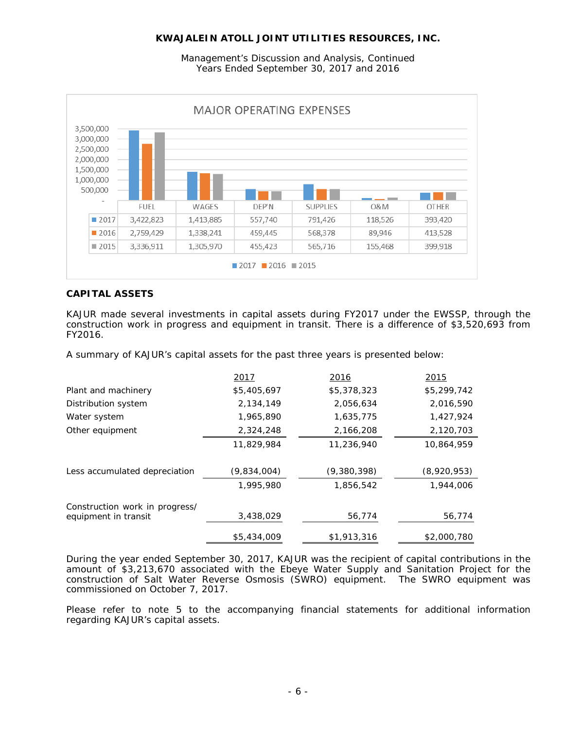Management's Discussion and Analysis, Continued Years Ended September 30, 2017 and 2016



## **CAPITAL ASSETS**

KAJUR made several investments in capital assets during FY2017 under the EWSSP, through the construction work in progress and equipment in transit. There is a difference of \$3,520,693 from FY2016.

A summary of KAJUR's capital assets for the past three years is presented below:

|                                | 2017        | 2016        | 2015        |
|--------------------------------|-------------|-------------|-------------|
| Plant and machinery            | \$5,405,697 | \$5,378,323 | \$5,299,742 |
| Distribution system            | 2,134,149   | 2,056,634   | 2,016,590   |
| Water system                   | 1,965,890   | 1,635,775   | 1,427,924   |
| Other equipment                | 2,324,248   | 2,166,208   | 2,120,703   |
|                                | 11,829,984  | 11,236,940  | 10,864,959  |
| Less accumulated depreciation  | (9,834,004) | (9,380,398) | (8,920,953) |
|                                | 1,995,980   | 1,856,542   | 1,944,006   |
| Construction work in progress/ |             |             |             |
| equipment in transit           | 3,438,029   | 56,774      | 56,774      |
|                                | \$5,434,009 | \$1,913,316 | \$2,000,780 |

During the year ended September 30, 2017, KAJUR was the recipient of capital contributions in the amount of \$3,213,670 associated with the Ebeye Water Supply and Sanitation Project for the construction of Salt Water Reverse Osmosis (SWRO) equipment. The SWRO equipment was commissioned on October 7, 2017.

Please refer to note 5 to the accompanying financial statements for additional information regarding KAJUR's capital assets.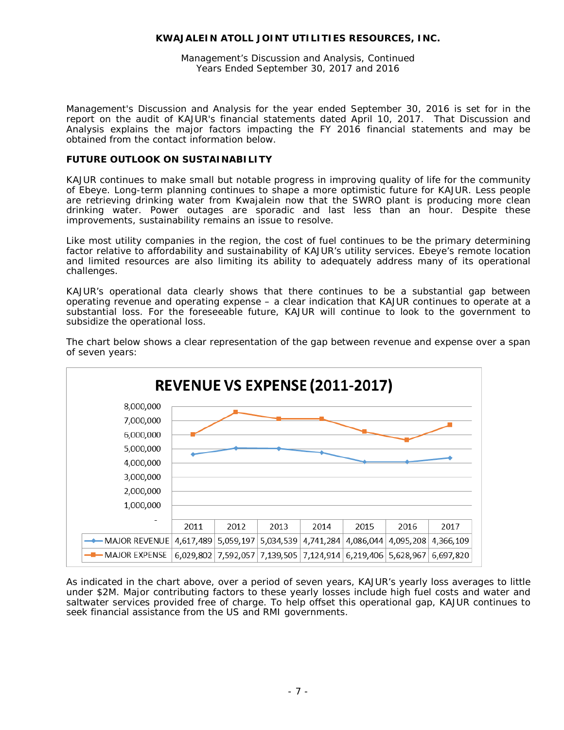Management's Discussion and Analysis, Continued Years Ended September 30, 2017 and 2016

Management's Discussion and Analysis for the year ended September 30, 2016 is set for in the report on the audit of KAJUR's financial statements dated April 10, 2017. That Discussion and Analysis explains the major factors impacting the FY 2016 financial statements and may be obtained from the contact information below.

## **FUTURE OUTLOOK ON SUSTAINABILITY**

KAJUR continues to make small but notable progress in improving quality of life for the community of Ebeye. Long-term planning continues to shape a more optimistic future for KAJUR. Less people are retrieving drinking water from Kwajalein now that the SWRO plant is producing more clean drinking water. Power outages are sporadic and last less than an hour. Despite these improvements, sustainability remains an issue to resolve.

Like most utility companies in the region, the cost of fuel continues to be the primary determining factor relative to affordability and sustainability of KAJUR's utility services. Ebeye's remote location and limited resources are also limiting its ability to adequately address many of its operational challenges.

KAJUR's operational data clearly shows that there continues to be a substantial gap between operating revenue and operating expense – a clear indication that KAJUR continues to operate at a substantial loss. For the foreseeable future, KAJUR will continue to look to the government to subsidize the operational loss.



The chart below shows a clear representation of the gap between revenue and expense over a span of seven years:

As indicated in the chart above, over a period of seven years, KAJUR's yearly loss averages to little under \$2M. Major contributing factors to these yearly losses include high fuel costs and water and saltwater services provided free of charge. To help offset this operational gap, KAJUR continues to seek financial assistance from the US and RMI governments.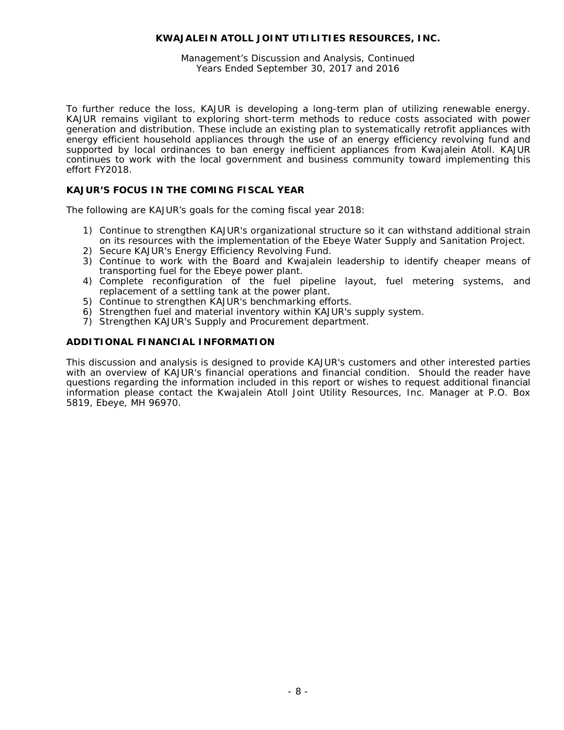#### Management's Discussion and Analysis, Continued Years Ended September 30, 2017 and 2016

To further reduce the loss, KAJUR is developing a long-term plan of utilizing renewable energy. KAJUR remains vigilant to exploring short-term methods to reduce costs associated with power generation and distribution. These include an existing plan to systematically retrofit appliances with energy efficient household appliances through the use of an energy efficiency revolving fund and supported by local ordinances to ban energy inefficient appliances from Kwajalein Atoll. KAJUR continues to work with the local government and business community toward implementing this effort FY2018.

## **KAJUR'S FOCUS IN THE COMING FISCAL YEAR**

The following are KAJUR's goals for the coming fiscal year 2018:

- 1) Continue to strengthen KAJUR's organizational structure so it can withstand additional strain on its resources with the implementation of the Ebeye Water Supply and Sanitation Project.
- 2) Secure KAJUR's Energy Efficiency Revolving Fund.
- 3) Continue to work with the Board and Kwajalein leadership to identify cheaper means of transporting fuel for the Ebeye power plant.
- 4) Complete reconfiguration of the fuel pipeline layout, fuel metering systems, and replacement of a settling tank at the power plant.
- 5) Continue to strengthen KAJUR's benchmarking efforts.
- 6) Strengthen fuel and material inventory within KAJUR's supply system.
- 7) Strengthen KAJUR's Supply and Procurement department.

## **ADDITIONAL FINANCIAL INFORMATION**

This discussion and analysis is designed to provide KAJUR's customers and other interested parties with an overview of KAJUR's financial operations and financial condition. Should the reader have questions regarding the information included in this report or wishes to request additional financial information please contact the Kwajalein Atoll Joint Utility Resources, Inc. Manager at P.O. Box 5819, Ebeye, MH 96970.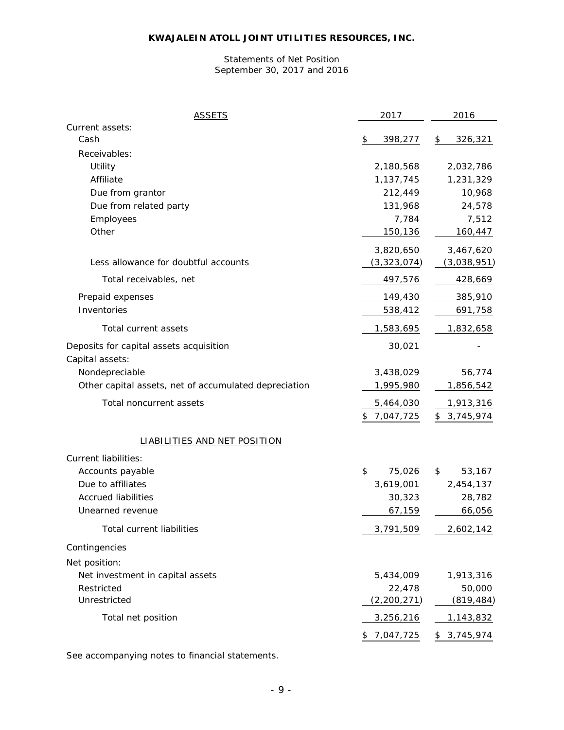## Statements of Net Position September 30, 2017 and 2016

| <u>ASSETS</u>                                         | 2017                    | 2016                 |
|-------------------------------------------------------|-------------------------|----------------------|
| Current assets:                                       |                         |                      |
| Cash                                                  | \$<br>398,277           | \$<br>326,321        |
| Receivables:                                          |                         |                      |
| Utility                                               | 2,180,568               | 2,032,786            |
| Affiliate                                             | 1,137,745               | 1,231,329            |
| Due from grantor                                      | 212,449                 | 10,968               |
| Due from related party                                | 131,968                 | 24,578               |
| Employees<br>Other                                    | 7,784                   | 7,512                |
|                                                       | 150,136                 | 160,447              |
|                                                       | 3,820,650               | 3,467,620            |
| Less allowance for doubtful accounts                  | (3,323,074)             | (3,038,951)          |
| Total receivables, net                                | 497,576                 | 428,669              |
| Prepaid expenses                                      | 149,430                 | 385,910              |
| Inventories                                           | 538,412                 | 691,758              |
| Total current assets                                  | 1,583,695               | 1,832,658            |
| Deposits for capital assets acquisition               | 30,021                  |                      |
| Capital assets:                                       |                         |                      |
| Nondepreciable                                        | 3,438,029               | 56,774               |
| Other capital assets, net of accumulated depreciation | 1,995,980               | 1,856,542            |
| Total noncurrent assets                               | 5,464,030               | 1,913,316            |
|                                                       | \$7,047,725             | \$3,745,974          |
| <b>LIABILITIES AND NET POSITION</b>                   |                         |                      |
| <b>Current liabilities:</b>                           |                         |                      |
| Accounts payable                                      | \$<br>75,026            | \$<br>53,167         |
| Due to affiliates                                     | 3,619,001               | 2,454,137            |
| <b>Accrued liabilities</b>                            | 30,323                  | 28,782               |
| Unearned revenue                                      | 67,159                  | 66,056               |
| Total current liabilities                             | 3,791,509               | 2,602,142            |
|                                                       |                         |                      |
| Contingencies                                         |                         |                      |
| Net position:                                         |                         |                      |
| Net investment in capital assets<br>Restricted        | 5,434,009               | 1,913,316            |
| Unrestricted                                          | 22,478<br>(2, 200, 271) | 50,000<br>(819, 484) |
|                                                       |                         |                      |
| Total net position                                    | 3,256,216               | 1,143,832            |
|                                                       | \$7,047,725             | \$3,745,974          |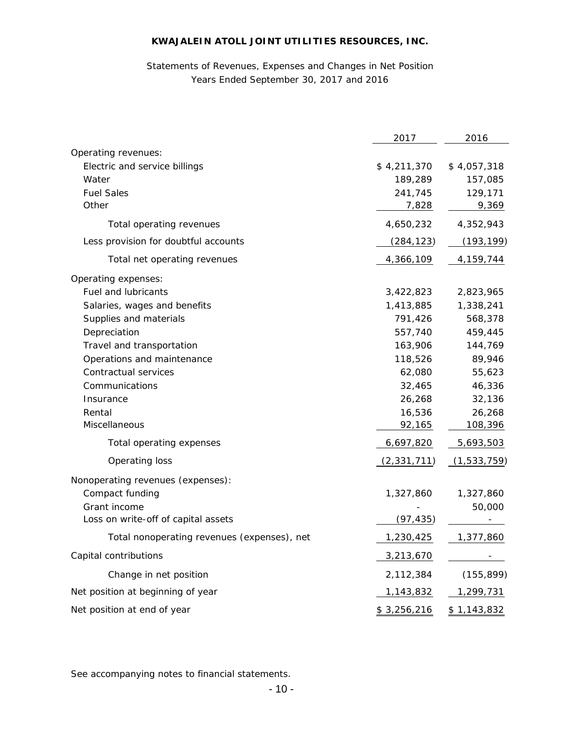## Statements of Revenues, Expenses and Changes in Net Position Years Ended September 30, 2017 and 2016

|                                             | 2017          | 2016          |
|---------------------------------------------|---------------|---------------|
| Operating revenues:                         |               |               |
| Electric and service billings               | \$4,211,370   | \$4,057,318   |
| Water                                       | 189,289       | 157,085       |
| <b>Fuel Sales</b>                           | 241,745       | 129,171       |
| Other                                       | 7,828         | 9,369         |
| Total operating revenues                    | 4,650,232     | 4,352,943     |
| Less provision for doubtful accounts        | (284, 123)    | (193, 199)    |
| Total net operating revenues                | 4,366,109     | 4,159,744     |
| Operating expenses:                         |               |               |
| Fuel and lubricants                         | 3,422,823     | 2,823,965     |
| Salaries, wages and benefits                | 1,413,885     | 1,338,241     |
| Supplies and materials                      | 791,426       | 568,378       |
| Depreciation                                | 557,740       | 459,445       |
| Travel and transportation                   | 163,906       | 144,769       |
| Operations and maintenance                  | 118,526       | 89,946        |
| Contractual services                        | 62,080        | 55,623        |
| Communications                              | 32,465        | 46,336        |
| Insurance                                   | 26,268        | 32,136        |
| Rental                                      | 16,536        | 26,268        |
| Miscellaneous                               | 92,165        | 108,396       |
| Total operating expenses                    | 6,697,820     | 5,693,503     |
| Operating loss                              | (2, 331, 711) | (1, 533, 759) |
| Nonoperating revenues (expenses):           |               |               |
| Compact funding                             | 1,327,860     | 1,327,860     |
| Grant income                                |               | 50,000        |
| Loss on write-off of capital assets         | (97, 435)     |               |
| Total nonoperating revenues (expenses), net | 1,230,425     | 1,377,860     |
| Capital contributions                       | 3,213,670     |               |
| Change in net position                      | 2,112,384     | (155, 899)    |
| Net position at beginning of year           | 1,143,832     | 1,299,731     |
| Net position at end of year                 | \$3,256,216   | \$1,143,832   |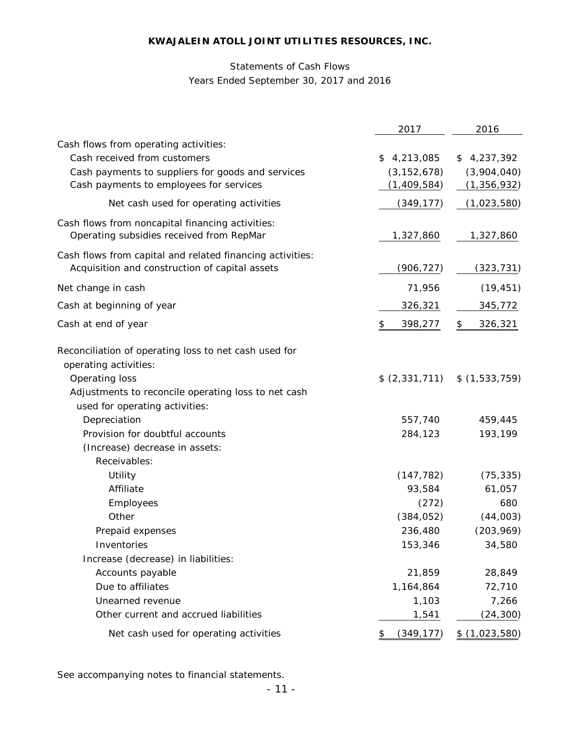# Statements of Cash Flows Years Ended September 30, 2017 and 2016

|                                                                                                             | 2017             | 2016            |
|-------------------------------------------------------------------------------------------------------------|------------------|-----------------|
| Cash flows from operating activities:                                                                       |                  |                 |
| Cash received from customers                                                                                | 4,213,085<br>\$  | 4,237,392<br>\$ |
| Cash payments to suppliers for goods and services                                                           | (3, 152, 678)    | (3,904,040)     |
| Cash payments to employees for services                                                                     | (1,409,584)      | (1, 356, 932)   |
| Net cash used for operating activities                                                                      | (349, 177)       | (1,023,580)     |
| Cash flows from noncapital financing activities:<br>Operating subsidies received from RepMar                | 1,327,860        | 1,327,860       |
| Cash flows from capital and related financing activities:<br>Acquisition and construction of capital assets | (906, 727)       | (323, 731)      |
| Net change in cash                                                                                          | 71,956           | (19, 451)       |
| Cash at beginning of year                                                                                   | 326,321          | 345,772         |
| Cash at end of year                                                                                         | 398,277<br>\$    | \$<br>326,321   |
| Reconciliation of operating loss to net cash used for<br>operating activities:                              |                  |                 |
| Operating loss                                                                                              | \$(2,331,711)    | \$(1,533,759)   |
| Adjustments to reconcile operating loss to net cash                                                         |                  |                 |
| used for operating activities:                                                                              |                  |                 |
| Depreciation                                                                                                | 557,740          | 459,445         |
| Provision for doubtful accounts                                                                             | 284,123          | 193,199         |
| (Increase) decrease in assets:                                                                              |                  |                 |
| Receivables:                                                                                                |                  |                 |
| Utility                                                                                                     | (147, 782)       | (75, 335)       |
| Affiliate                                                                                                   | 93,584           | 61,057          |
| Employees                                                                                                   | (272)            | 680             |
| Other                                                                                                       | (384, 052)       | (44,003)        |
| Prepaid expenses                                                                                            | 236,480          | (203, 969)      |
| Inventories                                                                                                 | 153,346          | 34,580          |
| Increase (decrease) in liabilities:                                                                         |                  |                 |
| Accounts payable                                                                                            | 21,859           | 28,849          |
| Due to affiliates                                                                                           | 1,164,864        | 72,710          |
| Unearned revenue                                                                                            | 1,103            | 7,266           |
| Other current and accrued liabilities                                                                       | 1,541            | (24, 300)       |
| Net cash used for operating activities                                                                      | (349, 177)<br>\$ | \$(1,023,580)   |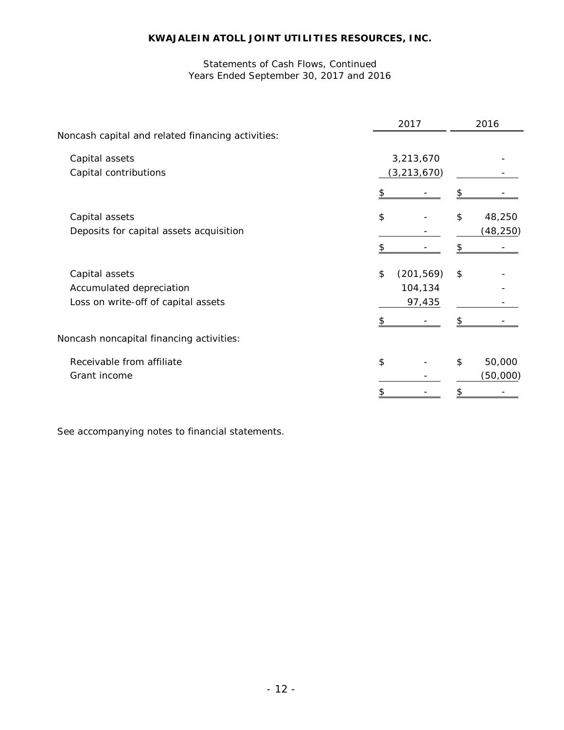## Years Ended September 30, 2017 and 2016 Statements of Cash Flows, Continued

|                                                   | 2017             |               | 2016     |
|---------------------------------------------------|------------------|---------------|----------|
| Noncash capital and related financing activities: |                  |               |          |
| Capital assets                                    | 3,213,670        |               |          |
| Capital contributions                             | (3, 213, 670)    |               |          |
|                                                   | \$               |               |          |
| Capital assets                                    | \$               | \$            | 48,250   |
| Deposits for capital assets acquisition           |                  |               | (48,250) |
|                                                   | \$               | £             |          |
| Capital assets                                    | \$<br>(201, 569) | $\frac{1}{2}$ |          |
| Accumulated depreciation                          | 104,134          |               |          |
| Loss on write-off of capital assets               | 97,435           |               |          |
|                                                   |                  |               |          |
| Noncash noncapital financing activities:          |                  |               |          |
| Receivable from affiliate                         | \$               | \$            | 50,000   |
| Grant income                                      |                  |               | (50,000) |
|                                                   | \$               |               |          |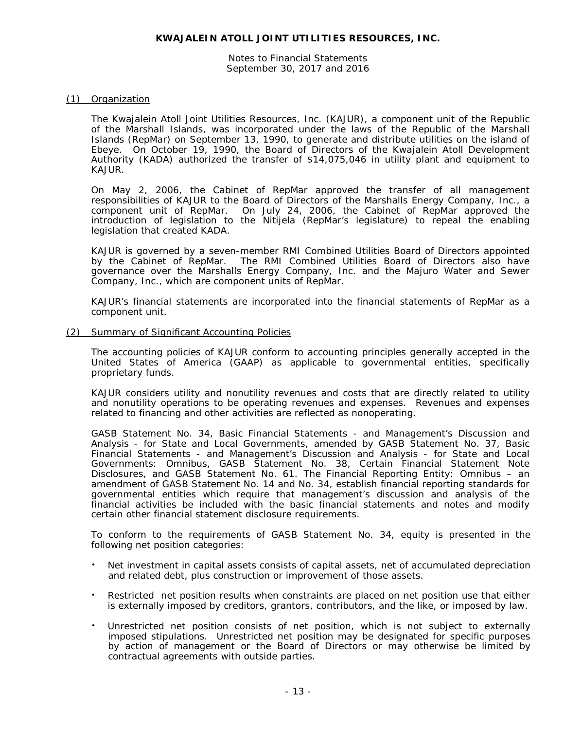Notes to Financial Statements September 30, 2017 and 2016

#### (1) Organization

The Kwajalein Atoll Joint Utilities Resources, Inc. (KAJUR), a component unit of the Republic of the Marshall Islands, was incorporated under the laws of the Republic of the Marshall Islands (RepMar) on September 13, 1990, to generate and distribute utilities on the island of Ebeye. On October 19, 1990, the Board of Directors of the Kwajalein Atoll Development Authority (KADA) authorized the transfer of \$14,075,046 in utility plant and equipment to KAJUR.

On May 2, 2006, the Cabinet of RepMar approved the transfer of all management responsibilities of KAJUR to the Board of Directors of the Marshalls Energy Company, Inc., a component unit of RepMar. On July 24, 2006, the Cabinet of RepMar approved the introduction of legislation to the Nitijela (RepMar's legislature) to repeal the enabling legislation that created KADA.

KAJUR is governed by a seven-member RMI Combined Utilities Board of Directors appointed by the Cabinet of RepMar. The RMI Combined Utilities Board of Directors also have governance over the Marshalls Energy Company, Inc. and the Majuro Water and Sewer Company, Inc., which are component units of RepMar.

KAJUR's financial statements are incorporated into the financial statements of RepMar as a component unit.

#### (2) Summary of Significant Accounting Policies

The accounting policies of KAJUR conform to accounting principles generally accepted in the United States of America (GAAP) as applicable to governmental entities, specifically proprietary funds.

KAJUR considers utility and nonutility revenues and costs that are directly related to utility and nonutility operations to be operating revenues and expenses. Revenues and expenses related to financing and other activities are reflected as nonoperating.

GASB Statement No. 34, *Basic Financial Statements - and Management's Discussion and Analysis - for State and Local Governments*, amended by GASB Statement No. 37, *Basic Financial Statements - and Management's Discussion and Analysis - for State and Local Governments: Omnibus,* GASB Statement No. 38, *Certain Financial Statement Note Disclosures,* and GASB Statement No. 61. *The Financial Reporting Entity: Omnibus – an amendment of GASB Statement No. 14 and No. 34*, establish financial reporting standards for governmental entities which require that management's discussion and analysis of the financial activities be included with the basic financial statements and notes and modify certain other financial statement disclosure requirements.

To conform to the requirements of GASB Statement No. 34, equity is presented in the following net position categories:

- *Net investment in capital asset*s consists of capital assets, net of accumulated depreciation and related debt, plus construction or improvement of those assets.
- *Restricted net position* results when constraints are placed on net position use that either is externally imposed by creditors, grantors, contributors, and the like, or imposed by law.
- *Unrestricted net position* consists of net position, which is not subject to externally imposed stipulations. Unrestricted net position may be designated for specific purposes by action of management or the Board of Directors or may otherwise be limited by contractual agreements with outside parties.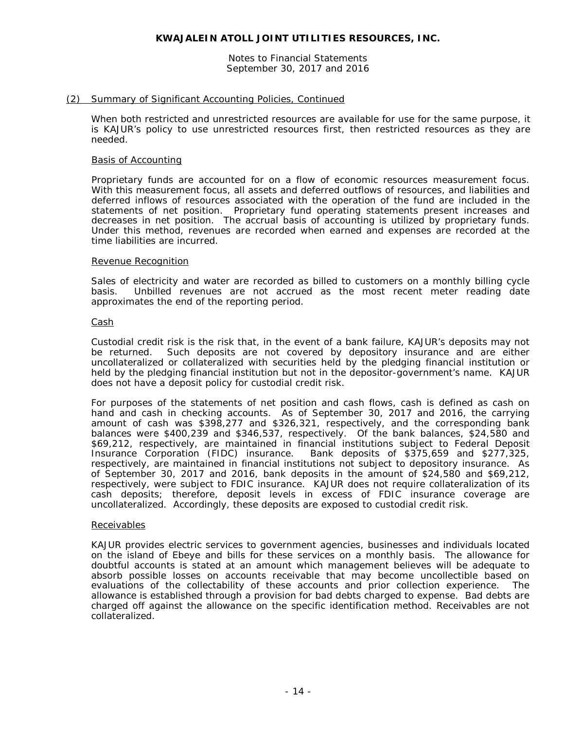Notes to Financial Statements September 30, 2017 and 2016

#### (2) Summary of Significant Accounting Policies, Continued

When both restricted and unrestricted resources are available for use for the same purpose, it is KAJUR's policy to use unrestricted resources first, then restricted resources as they are needed.

#### Basis of Accounting

Proprietary funds are accounted for on a flow of economic resources measurement focus. With this measurement focus, all assets and deferred outflows of resources, and liabilities and deferred inflows of resources associated with the operation of the fund are included in the statements of net position. Proprietary fund operating statements present increases and decreases in net position. The accrual basis of accounting is utilized by proprietary funds. Under this method, revenues are recorded when earned and expenses are recorded at the time liabilities are incurred.

#### Revenue Recognition

Sales of electricity and water are recorded as billed to customers on a monthly billing cycle basis. Unbilled revenues are not accrued as the most recent meter reading date approximates the end of the reporting period.

#### Cash

Custodial credit risk is the risk that, in the event of a bank failure, KAJUR's deposits may not be returned. Such deposits are not covered by depository insurance and are either uncollateralized or collateralized with securities held by the pledging financial institution or held by the pledging financial institution but not in the depositor-government's name. KAJUR does not have a deposit policy for custodial credit risk.

For purposes of the statements of net position and cash flows, cash is defined as cash on hand and cash in checking accounts. As of September 30, 2017 and 2016, the carrying amount of cash was \$398,277 and \$326,321, respectively, and the corresponding bank balances were \$400,239 and \$346,537, respectively. Of the bank balances, \$24,580 and \$69,212, respectively, are maintained in financial institutions subject to Federal Deposit Insurance Corporation (FIDC) insurance. Bank deposits of \$375,659 and \$277,325, Bank deposits of  $$375,659$  and  $$277,325$ , respectively, are maintained in financial institutions not subject to depository insurance. As of September 30, 2017 and 2016, bank deposits in the amount of \$24,580 and \$69,212, respectively, were subject to FDIC insurance. KAJUR does not require collateralization of its cash deposits; therefore, deposit levels in excess of FDIC insurance coverage are uncollateralized. Accordingly, these deposits are exposed to custodial credit risk.

#### Receivables

KAJUR provides electric services to government agencies, businesses and individuals located on the island of Ebeye and bills for these services on a monthly basis. The allowance for doubtful accounts is stated at an amount which management believes will be adequate to absorb possible losses on accounts receivable that may become uncollectible based on evaluations of the collectability of these accounts and prior collection experience. The allowance is established through a provision for bad debts charged to expense. Bad debts are charged off against the allowance on the specific identification method. Receivables are not collateralized.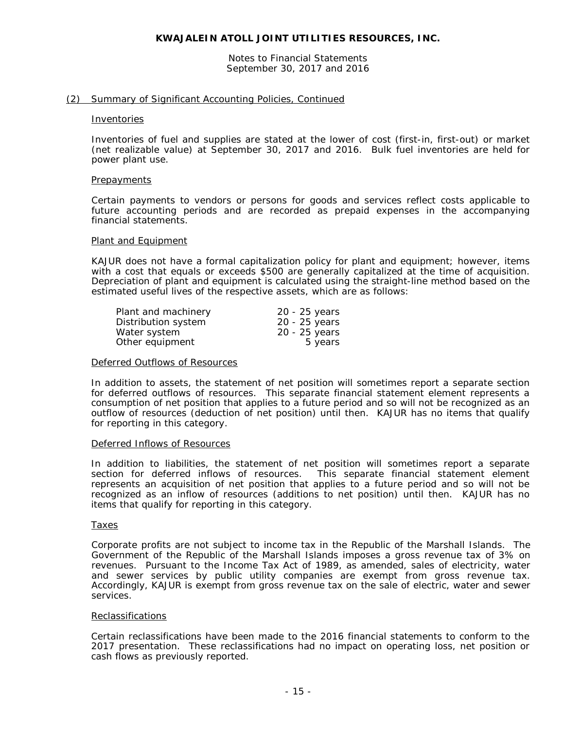Notes to Financial Statements September 30, 2017 and 2016

## (2) Summary of Significant Accounting Policies, Continued

#### Inventories

Inventories of fuel and supplies are stated at the lower of cost (first-in, first-out) or market (net realizable value) at September 30, 2017 and 2016. Bulk fuel inventories are held for power plant use.

#### Prepayments

Certain payments to vendors or persons for goods and services reflect costs applicable to future accounting periods and are recorded as prepaid expenses in the accompanying financial statements.

#### Plant and Equipment

KAJUR does not have a formal capitalization policy for plant and equipment; however, items with a cost that equals or exceeds \$500 are generally capitalized at the time of acquisition. Depreciation of plant and equipment is calculated using the straight-line method based on the estimated useful lives of the respective assets, which are as follows:

| Plant and machinery | 20 - 25 years |
|---------------------|---------------|
| Distribution system | 20 - 25 years |
| Water system        | 20 - 25 years |
| Other equipment     | 5 years       |

#### Deferred Outflows of Resources

In addition to assets, the statement of net position will sometimes report a separate section for deferred outflows of resources. This separate financial statement element represents a consumption of net position that applies to a future period and so will not be recognized as an outflow of resources (deduction of net position) until then. KAJUR has no items that qualify for reporting in this category.

#### Deferred Inflows of Resources

In addition to liabilities, the statement of net position will sometimes report a separate section for deferred inflows of resources. This separate financial statement element represents an acquisition of net position that applies to a future period and so will not be recognized as an inflow of resources (additions to net position) until then. KAJUR has no items that qualify for reporting in this category.

#### **Taxes**

Corporate profits are not subject to income tax in the Republic of the Marshall Islands. The Government of the Republic of the Marshall Islands imposes a gross revenue tax of 3% on revenues. Pursuant to the Income Tax Act of 1989, as amended, sales of electricity, water and sewer services by public utility companies are exempt from gross revenue tax. Accordingly, KAJUR is exempt from gross revenue tax on the sale of electric, water and sewer services.

#### Reclassifications

Certain reclassifications have been made to the 2016 financial statements to conform to the 2017 presentation. These reclassifications had no impact on operating loss, net position or cash flows as previously reported.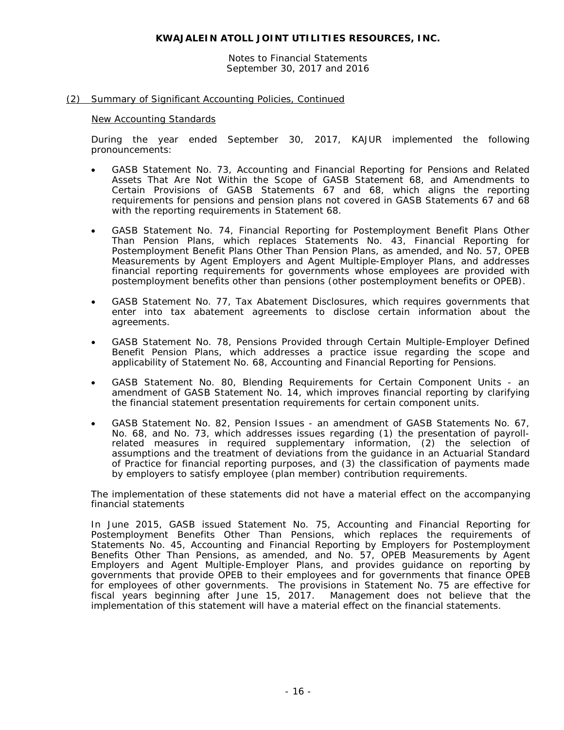Notes to Financial Statements September 30, 2017 and 2016

## (2) Summary of Significant Accounting Policies, Continued

#### New Accounting Standards

During the year ended September 30, 2017, KAJUR implemented the following pronouncements:

- GASB Statement No. 73, *Accounting and Financial Reporting for Pensions and Related Assets That Are Not Within the Scope of GASB Statement 68, and Amendments to Certain Provisions of GASB Statements 67 and 68*, which aligns the reporting requirements for pensions and pension plans not covered in GASB Statements 67 and 68 with the reporting requirements in Statement 68.
- GASB Statement No. 74, *Financial Reporting for Postemployment Benefit Plans Other Than Pension Plans*, which replaces Statements No. 43, *Financial Reporting for Postemployment Benefit Plans Other Than Pension Plans, as amended*, and No. 57, *OPEB Measurements by Agent Employers and Agent Multiple-Employer Plans*, and addresses financial reporting requirements for governments whose employees are provided with postemployment benefits other than pensions (other postemployment benefits or OPEB).
- GASB Statement No. 77, *Tax Abatement Disclosures*, which requires governments that enter into tax abatement agreements to disclose certain information about the agreements.
- GASB Statement No. 78, *Pensions Provided through Certain Multiple-Employer Defined Benefit Pension Plans*, which addresses a practice issue regarding the scope and applicability of Statement No. 68, *Accounting and Financial Reporting for Pensions*.
- GASB Statement No. 80, *Blending Requirements for Certain Component Units - an amendment of GASB Statement No. 14*, which improves financial reporting by clarifying the financial statement presentation requirements for certain component units.
- GASB Statement No. 82, *Pension Issues - an amendment of GASB Statements No. 67, No. 68, and No. 73*, which addresses issues regarding (1) the presentation of payrollrelated measures in required supplementary information, (2) the selection of assumptions and the treatment of deviations from the guidance in an Actuarial Standard of Practice for financial reporting purposes, and (3) the classification of payments made by employers to satisfy employee (plan member) contribution requirements.

The implementation of these statements did not have a material effect on the accompanying financial statements

In June 2015, GASB issued Statement No. 75, *Accounting and Financial Reporting for*  Postemployment Benefits Other Than Pensions, which replaces the requirements of Statements No. 45, *Accounting and Financial Reporting by Employers for Postemployment Benefits Other Than Pensions*, as amended, and No. 57, *OPEB Measurements by Agent Employers and Agent Multiple-Employer Plans*, and provides guidance on reporting by governments that provide OPEB to their employees and for governments that finance OPEB for employees of other governments. The provisions in Statement No. 75 are effective for fiscal years beginning after June 15, 2017. Management does not believe that the implementation of this statement will have a material effect on the financial statements.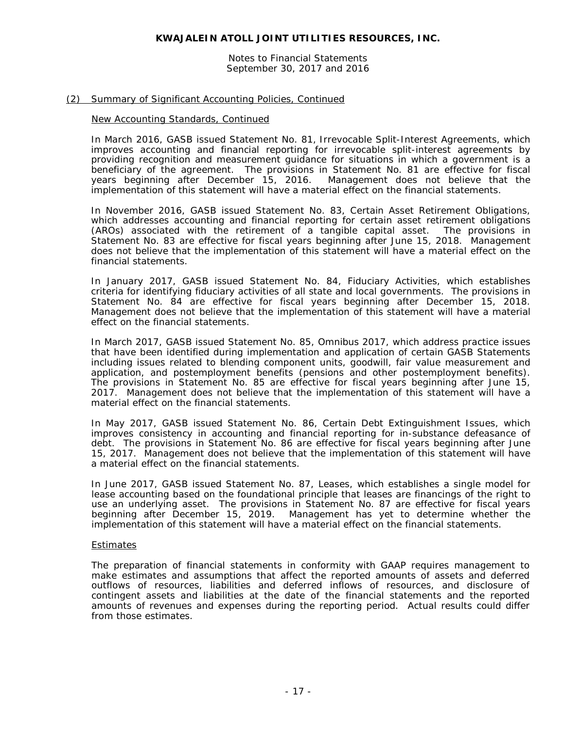Notes to Financial Statements September 30, 2017 and 2016

## (2) Summary of Significant Accounting Policies, Continued

## New Accounting Standards, Continued

In March 2016, GASB issued Statement No. 81, *Irrevocable Split-Interest Agreements,* which improves accounting and financial reporting for irrevocable split-interest agreements by providing recognition and measurement guidance for situations in which a government is a beneficiary of the agreement. The provisions in Statement No. 81 are effective for fiscal years beginning after December 15, 2016. Management does not believe that the implementation of this statement will have a material effect on the financial statements.

In November 2016, GASB issued Statement No. 83, *Certain Asset Retirement Obligations*, which addresses accounting and financial reporting for certain asset retirement obligations (AROs) associated with the retirement of a tangible capital asset. The provisions in Statement No. 83 are effective for fiscal years beginning after June 15, 2018. Management does not believe that the implementation of this statement will have a material effect on the financial statements.

In January 2017, GASB issued Statement No. 84, *Fiduciary Activities*, which establishes criteria for identifying fiduciary activities of all state and local governments. The provisions in Statement No. 84 are effective for fiscal years beginning after December 15, 2018. Management does not believe that the implementation of this statement will have a material effect on the financial statements.

In March 2017, GASB issued Statement No. 85, *Omnibus 2017*, which address practice issues that have been identified during implementation and application of certain GASB Statements including issues related to blending component units, goodwill, fair value measurement and application, and postemployment benefits (pensions and other postemployment benefits). The provisions in Statement No. 85 are effective for fiscal years beginning after June 15, 2017. Management does not believe that the implementation of this statement will have a material effect on the financial statements.

In May 2017, GASB issued Statement No. 86, *Certain Debt Extinguishment Issues*, which improves consistency in accounting and financial reporting for in-substance defeasance of debt. The provisions in Statement No. 86 are effective for fiscal years beginning after June 15, 2017. Management does not believe that the implementation of this statement will have a material effect on the financial statements.

In June 2017, GASB issued Statement No. 87, *Leases*, which establishes a single model for lease accounting based on the foundational principle that leases are financings of the right to use an underlying asset. The provisions in Statement No. 87 are effective for fiscal years beginning after December 15, 2019. Management has yet to determine whether the implementation of this statement will have a material effect on the financial statements.

## Estimates

The preparation of financial statements in conformity with GAAP requires management to make estimates and assumptions that affect the reported amounts of assets and deferred outflows of resources, liabilities and deferred inflows of resources, and disclosure of contingent assets and liabilities at the date of the financial statements and the reported amounts of revenues and expenses during the reporting period. Actual results could differ from those estimates.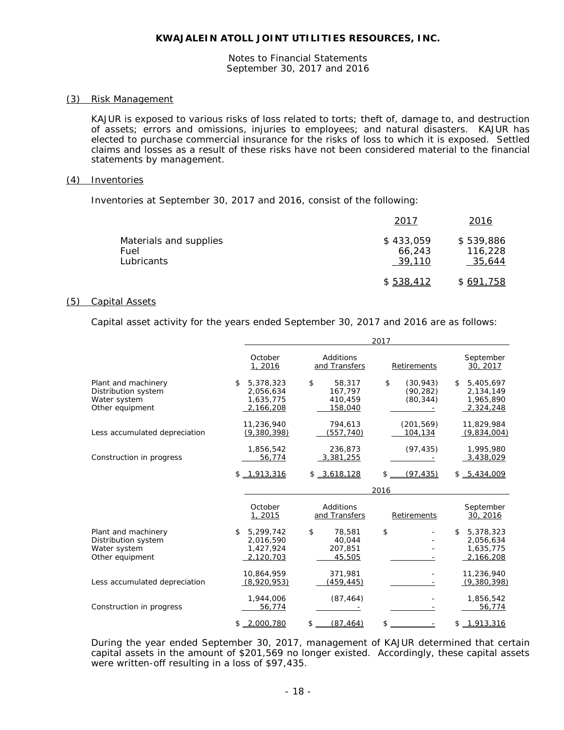#### Notes to Financial Statements September 30, 2017 and 2016

#### (3) Risk Management

KAJUR is exposed to various risks of loss related to torts; theft of, damage to, and destruction of assets; errors and omissions, injuries to employees; and natural disasters. KAJUR has elected to purchase commercial insurance for the risks of loss to which it is exposed. Settled claims and losses as a result of these risks have not been considered material to the financial statements by management.

## (4) Inventories

Inventories at September 30, 2017 and 2016, consist of the following:

|                        | 2017      | 2016      |
|------------------------|-----------|-----------|
| Materials and supplies | \$433,059 | \$539,886 |
| Fuel                   | 66,243    | 116,228   |
| Lubricants             | 39,110    | 35,644    |
|                        | \$538,412 | \$691,758 |
|                        |           |           |

#### (5) Capital Assets

Capital asset activity for the years ended September 30, 2017 and 2016 are as follows:

|                                                                               |                    |                                                        |                                         | 2017                                      |                                                        |
|-------------------------------------------------------------------------------|--------------------|--------------------------------------------------------|-----------------------------------------|-------------------------------------------|--------------------------------------------------------|
|                                                                               | October<br>1, 2016 |                                                        | Additions<br>and Transfers              | Retirements                               | September<br>30, 2017                                  |
| Plant and machinery<br>Distribution system<br>Water system<br>Other equipment | \$                 | \$<br>5,378,323<br>2,056,634<br>1,635,775<br>2,166,208 | 58,317<br>167.797<br>410,459<br>158,040 | \$<br>(30, 943)<br>(90, 282)<br>(80, 344) | \$<br>5,405,697<br>2,134,149<br>1,965,890<br>2,324,248 |
| Less accumulated depreciation                                                 | 11,236,940         | (9,380,398)                                            | 794,613<br>(557,740)                    | (201, 569)<br>104,134                     | 11,829,984<br>(9,834,004)                              |
| Construction in progress                                                      |                    | 1,856,542<br>56,774                                    | 236,873<br>3,381,255                    | (97, 435)                                 | 1,995,980<br>3,438,029                                 |
|                                                                               | \$1,913,316        |                                                        | $$ -3,618,128$                          | \$<br>(97.435)                            | $$ -5,434,009$                                         |
|                                                                               |                    |                                                        |                                         | 2016                                      |                                                        |
|                                                                               | October<br>1, 2015 |                                                        | Additions<br>and Transfers              | Retirements                               | September<br>30, 2016                                  |
| Plant and machinery<br>Distribution system<br>Water system<br>Other equipment | \$                 | \$<br>5,299,742<br>2,016,590<br>1,427,924<br>2,120,703 | 78,581<br>40.044<br>207.851<br>45,505   | \$                                        | \$<br>5,378,323<br>2,056,634<br>1,635,775<br>2,166,208 |
| Less accumulated depreciation                                                 | 10,864,959         | (8,920,953)                                            | 371,981<br>(459, 445)                   |                                           | 11,236,940<br>(9,380,398)                              |
| Construction in progress                                                      |                    | 1,944,006<br>56,774                                    | (87, 464)                               |                                           | 1,856,542<br>56,774                                    |
|                                                                               | \$ 2,000,780       | \$                                                     | (87, 464)                               | \$                                        | $$ -1.913.316$                                         |

During the year ended September 30, 2017, management of KAJUR determined that certain capital assets in the amount of \$201,569 no longer existed. Accordingly, these capital assets were written-off resulting in a loss of \$97,435.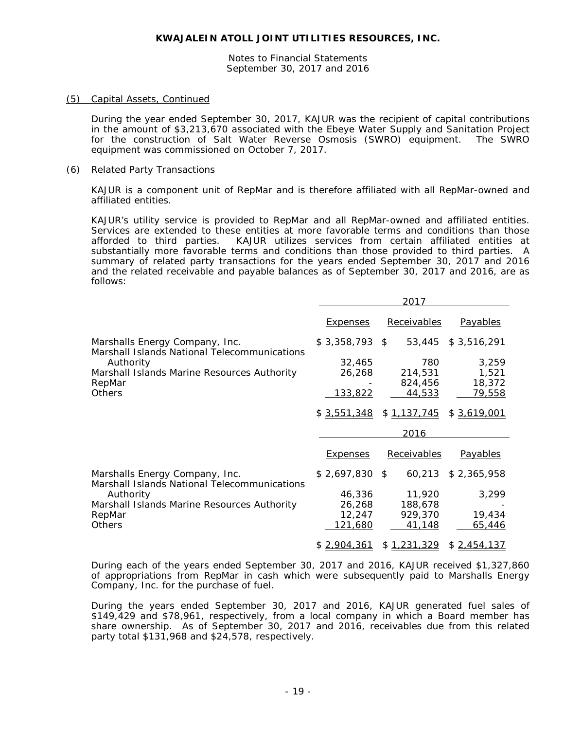#### Notes to Financial Statements September 30, 2017 and 2016

#### (5) Capital Assets, Continued

During the year ended September 30, 2017, KAJUR was the recipient of capital contributions in the amount of \$3,213,670 associated with the Ebeye Water Supply and Sanitation Project for the construction of Salt Water Reverse Osmosis (SWRO) equipment. The SWRO equipment was commissioned on October 7, 2017.

#### (6) Related Party Transactions

KAJUR is a component unit of RepMar and is therefore affiliated with all RepMar-owned and affiliated entities.

KAJUR's utility service is provided to RepMar and all RepMar-owned and affiliated entities. Services are extended to these entities at more favorable terms and conditions than those afforded to third parties. KAJUR utilizes services from certain affiliated entities at substantially more favorable terms and conditions than those provided to third parties. A summary of related party transactions for the years ended September 30, 2017 and 2016 and the related receivable and payable balances as of September 30, 2017 and 2016, are as follows:

|                                                                                |                  | 2017              |                 |
|--------------------------------------------------------------------------------|------------------|-------------------|-----------------|
|                                                                                | <b>Expenses</b>  | Receivables       | <b>Payables</b> |
| Marshalls Energy Company, Inc.<br>Marshall Islands National Telecommunications | $$3,358,793$ \$  | 53,445            | \$3,516,291     |
| Authority                                                                      | 32,465           | 780               | 3,259           |
| Marshall Islands Marine Resources Authority                                    | 26,268           | 214,531           | 1,521           |
| RepMar                                                                         |                  | 824,456           | 18,372          |
| <b>Others</b>                                                                  | <u>133,822</u>   | 44,533            | 79,558          |
|                                                                                | \$3,551,348      | \$1,137,745       | \$3,619,001     |
|                                                                                |                  |                   |                 |
|                                                                                |                  | 2016              |                 |
|                                                                                | <b>Expenses</b>  | Receivables       | Payables        |
| Marshalls Energy Company, Inc.                                                 | $$2,697,830$ \$  | 60,213            | \$2,365,958     |
| Marshall Islands National Telecommunications                                   |                  |                   |                 |
| Authority<br>Marshall Islands Marine Resources Authority                       | 46,336<br>26,268 | 11,920<br>188,678 | 3,299           |
| RepMar                                                                         | 12,247           | 929,370           | 19,434          |
| <b>Others</b>                                                                  | 121,680          | 41,148            | 65,446          |

During each of the years ended September 30, 2017 and 2016, KAJUR received \$1,327,860 of appropriations from RepMar in cash which were subsequently paid to Marshalls Energy Company, Inc. for the purchase of fuel.

During the years ended September 30, 2017 and 2016, KAJUR generated fuel sales of \$149,429 and \$78,961, respectively, from a local company in which a Board member has share ownership. As of September 30, 2017 and 2016, receivables due from this related party total \$131,968 and \$24,578, respectively.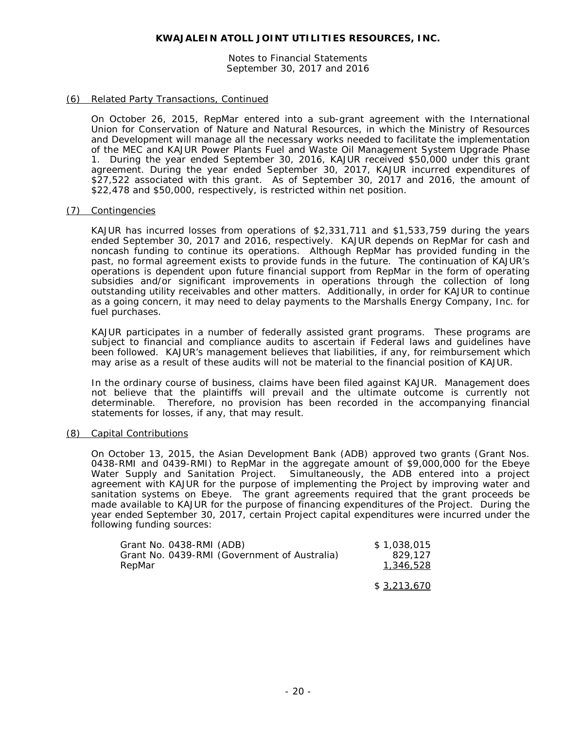Notes to Financial Statements September 30, 2017 and 2016

## (6) Related Party Transactions, Continued

On October 26, 2015, RepMar entered into a sub-grant agreement with the International Union for Conservation of Nature and Natural Resources, in which the Ministry of Resources and Development will manage all the necessary works needed to facilitate the implementation of the MEC and KAJUR Power Plants Fuel and Waste Oil Management System Upgrade Phase 1. During the year ended September 30, 2016, KAJUR received \$50,000 under this grant agreement. During the year ended September 30, 2017, KAJUR incurred expenditures of \$27,522 associated with this grant. As of September 30, 2017 and 2016, the amount of \$22,478 and \$50,000, respectively, is restricted within net position.

#### (7) Contingencies

KAJUR has incurred losses from operations of \$2,331,711 and \$1,533,759 during the years ended September 30, 2017 and 2016, respectively. KAJUR depends on RepMar for cash and noncash funding to continue its operations. Although RepMar has provided funding in the past, no formal agreement exists to provide funds in the future. The continuation of KAJUR's operations is dependent upon future financial support from RepMar in the form of operating subsidies and/or significant improvements in operations through the collection of long outstanding utility receivables and other matters. Additionally, in order for KAJUR to continue as a going concern, it may need to delay payments to the Marshalls Energy Company, Inc. for fuel purchases.

KAJUR participates in a number of federally assisted grant programs. These programs are subject to financial and compliance audits to ascertain if Federal laws and guidelines have been followed. KAJUR's management believes that liabilities, if any, for reimbursement which may arise as a result of these audits will not be material to the financial position of KAJUR.

In the ordinary course of business, claims have been filed against KAJUR. Management does not believe that the plaintiffs will prevail and the ultimate outcome is currently not determinable. Therefore, no provision has been recorded in the accompanying financial statements for losses, if any, that may result.

## (8) Capital Contributions

On October 13, 2015, the Asian Development Bank (ADB) approved two grants (Grant Nos. 0438-RMI and 0439-RMI) to RepMar in the aggregate amount of \$9,000,000 for the Ebeye Water Supply and Sanitation Project. Simultaneously, the ADB entered into a project agreement with KAJUR for the purpose of implementing the Project by improving water and sanitation systems on Ebeye. The grant agreements required that the grant proceeds be made available to KAJUR for the purpose of financing expenditures of the Project. During the year ended September 30, 2017, certain Project capital expenditures were incurred under the following funding sources:

| Grant No. 0438-RMI (ADB)                     | \$1.038.015 |
|----------------------------------------------|-------------|
| Grant No. 0439-RMI (Government of Australia) | 829.127     |
| RepMar                                       | 1,346,528   |
|                                              |             |
|                                              | \$3,213,670 |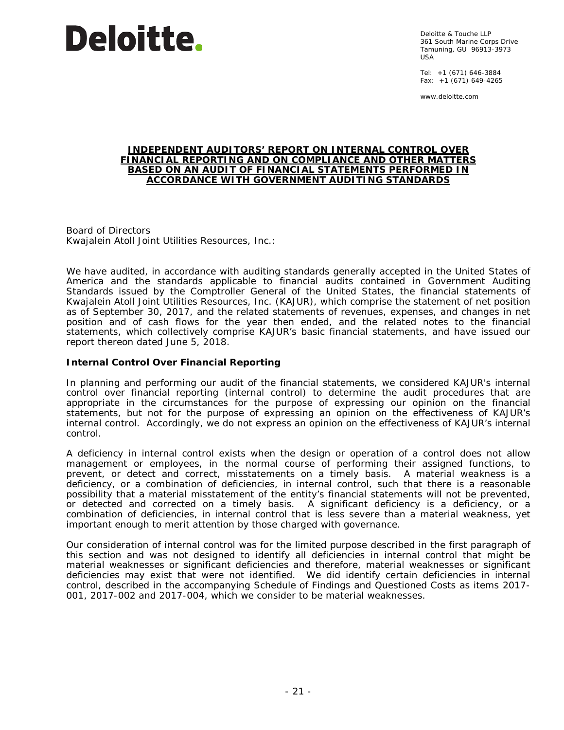

Deloitte & Touche LLP 361 South Marine Corps Drive Tamuning, GU 96913-3973 USA

Tel: +1 (671) 646-3884 Fax:  $+1$  (671) 649-4265

www.deloitte.com

#### **INDEPENDENT AUDITORS' REPORT ON INTERNAL CONTROL OVER FINANCIAL REPORTING AND ON COMPLIANCE AND OTHER MATTERS BASED ON AN AUDIT OF FINANCIAL STATEMENTS PERFORMED IN ACCORDANCE WITH** *GOVERNMENT AUDITING STANDARDS*

Board of Directors Kwajalein Atoll Joint Utilities Resources, Inc.:

We have audited, in accordance with auditing standards generally accepted in the United States of America and the standards applicable to financial audits contained in *Government Auditing Standards* issued by the Comptroller General of the United States, the financial statements of Kwajalein Atoll Joint Utilities Resources, Inc. (KAJUR), which comprise the statement of net position as of September 30, 2017, and the related statements of revenues, expenses, and changes in net position and of cash flows for the year then ended, and the related notes to the financial statements, which collectively comprise KAJUR's basic financial statements, and have issued our report thereon dated June 5, 2018.

## **Internal Control Over Financial Reporting**

In planning and performing our audit of the financial statements, we considered KAJUR's internal control over financial reporting (internal control) to determine the audit procedures that are appropriate in the circumstances for the purpose of expressing our opinion on the financial statements, but not for the purpose of expressing an opinion on the effectiveness of KAJUR's internal control. Accordingly, we do not express an opinion on the effectiveness of KAJUR's internal control.

A *deficiency in internal control* exists when the design or operation of a control does not allow management or employees, in the normal course of performing their assigned functions, to prevent, or detect and correct, misstatements on a timely basis. A *material weakness* is a deficiency, or a combination of deficiencies, in internal control, such that there is a reasonable possibility that a material misstatement of the entity's financial statements will not be prevented, or detected and corrected on a timely basis. A *significant deficiency* is a deficiency, or a combination of deficiencies, in internal control that is less severe than a material weakness, yet important enough to merit attention by those charged with governance.

Our consideration of internal control was for the limited purpose described in the first paragraph of this section and was not designed to identify all deficiencies in internal control that might be material weaknesses or significant deficiencies and therefore, material weaknesses or significant deficiencies may exist that were not identified. We did identify certain deficiencies in internal control, described in the accompanying Schedule of Findings and Questioned Costs as items 2017- 001, 2017-002 and 2017-004, which we consider to be material weaknesses.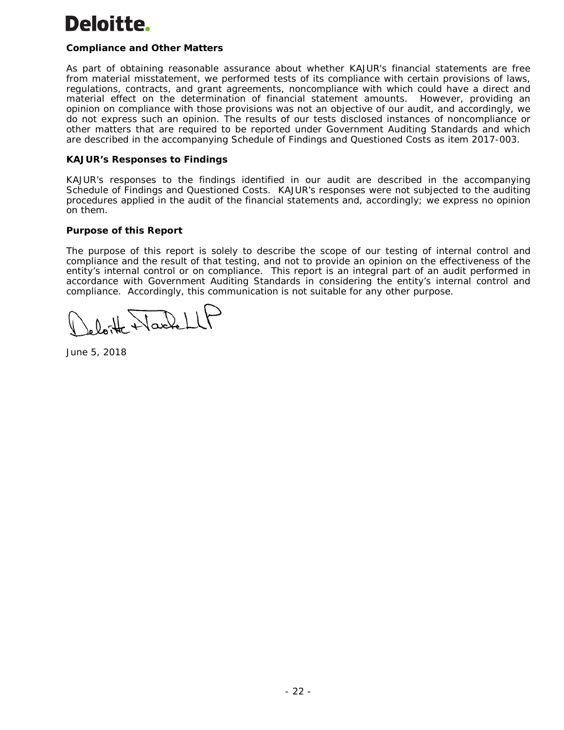# **Deloitte**

# **Compliance and Other Matters**

As part of obtaining reasonable assurance about whether KAJUR's financial statements are free from material misstatement, we performed tests of its compliance with certain provisions of laws, regulations, contracts, and grant agreements, noncompliance with which could have a direct and material effect on the determination of financial statement amounts. However, providing an opinion on compliance with those provisions was not an objective of our audit, and accordingly, we do not express such an opinion. The results of our tests disclosed instances of noncompliance or other matters that are required to be reported under *Government Auditing Standards* and which are described in the accompanying Schedule of Findings and Questioned Costs as item 2017-003.

## **KAJUR's Responses to Findings**

KAJUR's responses to the findings identified in our audit are described in the accompanying Schedule of Findings and Questioned Costs. KAJUR's responses were not subjected to the auditing procedures applied in the audit of the financial statements and, accordingly; we express no opinion on them.

## **Purpose of this Report**

The purpose of this report is solely to describe the scope of our testing of internal control and compliance and the result of that testing, and not to provide an opinion on the effectiveness of the entity's internal control or on compliance. This report is an integral part of an audit performed in accordance with *Government Auditing Standards* in considering the entity's internal control and compliance. Accordingly, this communication is not suitable for any other purpose.

loite Wackell

June 5, 2018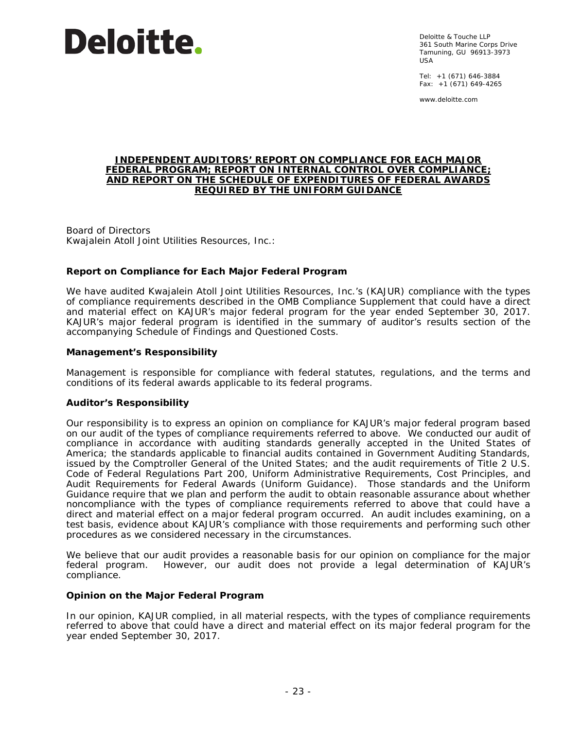

Deloitte & Touche LLP 361 South Marine Corps Drive Tamuning, GU 96913-3973 USA

Tel: +1 (671) 646-3884 Fax: +1 (671) 649-4265

www.deloitte.com

#### **INDEPENDENT AUDITORS' REPORT ON COMPLIANCE FOR EACH MAJOR FEDERAL PROGRAM; REPORT ON INTERNAL CONTROL OVER COMPLIANCE; AND REPORT ON THE SCHEDULE OF EXPENDITURES OF FEDERAL AWARDS REQUIRED BY THE UNIFORM GUIDANCE**

Board of Directors Kwajalein Atoll Joint Utilities Resources, Inc.:

## **Report on Compliance for Each Major Federal Program**

We have audited Kwajalein Atoll Joint Utilities Resources, Inc.'s (KAJUR) compliance with the types of compliance requirements described in the *OMB Compliance Supplement* that could have a direct and material effect on KAJUR's major federal program for the year ended September 30, 2017. KAJUR's major federal program is identified in the summary of auditor's results section of the accompanying Schedule of Findings and Questioned Costs.

## *Management's Responsibility*

Management is responsible for compliance with federal statutes, regulations, and the terms and conditions of its federal awards applicable to its federal programs.

## *Auditor's Responsibility*

Our responsibility is to express an opinion on compliance for KAJUR's major federal program based on our audit of the types of compliance requirements referred to above. We conducted our audit of compliance in accordance with auditing standards generally accepted in the United States of America; the standards applicable to financial audits contained in *Government Auditing Standards*, issued by the Comptroller General of the United States; and the audit requirements of Title 2 U.S. *Code of Federal Regulations* Part 200, *Uniform Administrative Requirements, Cost Principles, and Audit Requirements for Federal Awards* (Uniform Guidance). Those standards and the Uniform Guidance require that we plan and perform the audit to obtain reasonable assurance about whether noncompliance with the types of compliance requirements referred to above that could have a direct and material effect on a major federal program occurred. An audit includes examining, on a test basis, evidence about KAJUR's compliance with those requirements and performing such other procedures as we considered necessary in the circumstances.

We believe that our audit provides a reasonable basis for our opinion on compliance for the major federal program. However, our audit does not provide a legal determination of KAJUR's compliance.

## *Opinion on the Major Federal Program*

In our opinion, KAJUR complied, in all material respects, with the types of compliance requirements referred to above that could have a direct and material effect on its major federal program for the year ended September 30, 2017.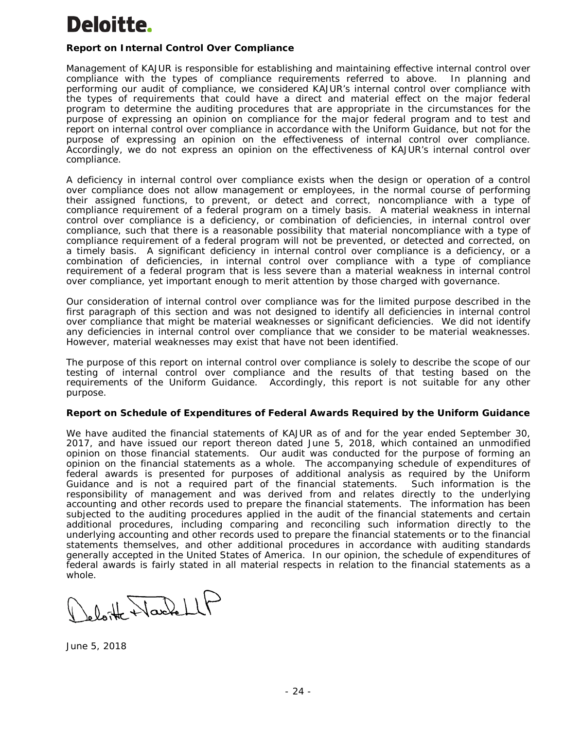# Deloitte.

## **Report on Internal Control Over Compliance**

Management of KAJUR is responsible for establishing and maintaining effective internal control over compliance with the types of compliance requirements referred to above. In planning and performing our audit of compliance, we considered KAJUR's internal control over compliance with the types of requirements that could have a direct and material effect on the major federal program to determine the auditing procedures that are appropriate in the circumstances for the purpose of expressing an opinion on compliance for the major federal program and to test and report on internal control over compliance in accordance with the Uniform Guidance, but not for the purpose of expressing an opinion on the effectiveness of internal control over compliance. Accordingly, we do not express an opinion on the effectiveness of KAJUR's internal control over compliance.

A *deficiency in internal control over compliance* exists when the design or operation of a control over compliance does not allow management or employees, in the normal course of performing their assigned functions, to prevent, or detect and correct, noncompliance with a type of compliance requirement of a federal program on a timely basis. A *material weakness in internal control over compliance* is a deficiency, or combination of deficiencies, in internal control over compliance, such that there is a reasonable possibility that material noncompliance with a type of compliance requirement of a federal program will not be prevented, or detected and corrected, on a timely basis. A *significant deficiency in internal control over compliance* is a deficiency, or a combination of deficiencies, in internal control over compliance with a type of compliance requirement of a federal program that is less severe than a material weakness in internal control over compliance, yet important enough to merit attention by those charged with governance.

Our consideration of internal control over compliance was for the limited purpose described in the first paragraph of this section and was not designed to identify all deficiencies in internal control over compliance that might be material weaknesses or significant deficiencies. We did not identify any deficiencies in internal control over compliance that we consider to be material weaknesses. However, material weaknesses may exist that have not been identified.

The purpose of this report on internal control over compliance is solely to describe the scope of our testing of internal control over compliance and the results of that testing based on the requirements of the Uniform Guidance. Accordingly, this report is not suitable for any other purpose.

## **Report on Schedule of Expenditures of Federal Awards Required by the Uniform Guidance**

We have audited the financial statements of KAJUR as of and for the year ended September 30, 2017, and have issued our report thereon dated June 5, 2018, which contained an unmodified opinion on those financial statements. Our audit was conducted for the purpose of forming an opinion on the financial statements as a whole. The accompanying schedule of expenditures of federal awards is presented for purposes of additional analysis as required by the Uniform Guidance and is not a required part of the financial statements. Such information is the responsibility of management and was derived from and relates directly to the underlying accounting and other records used to prepare the financial statements. The information has been subjected to the auditing procedures applied in the audit of the financial statements and certain additional procedures, including comparing and reconciling such information directly to the underlying accounting and other records used to prepare the financial statements or to the financial statements themselves, and other additional procedures in accordance with auditing standards generally accepted in the United States of America. In our opinion, the schedule of expenditures of federal awards is fairly stated in all material respects in relation to the financial statements as a whole.

eloitte Nachell

June 5, 2018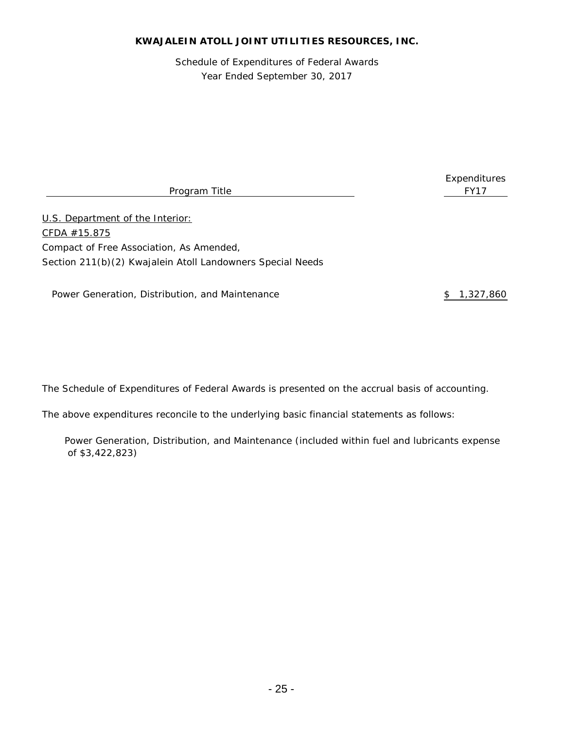Schedule of Expenditures of Federal Awards Year Ended September 30, 2017

Program Title FY17

Expenditures

U.S. Department of the Interior: CFDA #15.875 Compact of Free Association, As Amended, Section 211(b)(2) Kwajalein Atoll Landowners Special Needs

Power Generation, Distribution, and Maintenance  $$ 1,327,860$ 

The Schedule of Expenditures of Federal Awards is presented on the accrual basis of accounting.

The above expenditures reconcile to the underlying basic financial statements as follows:

 Power Generation, Distribution, and Maintenance (included within fuel and lubricants expense of \$3,422,823)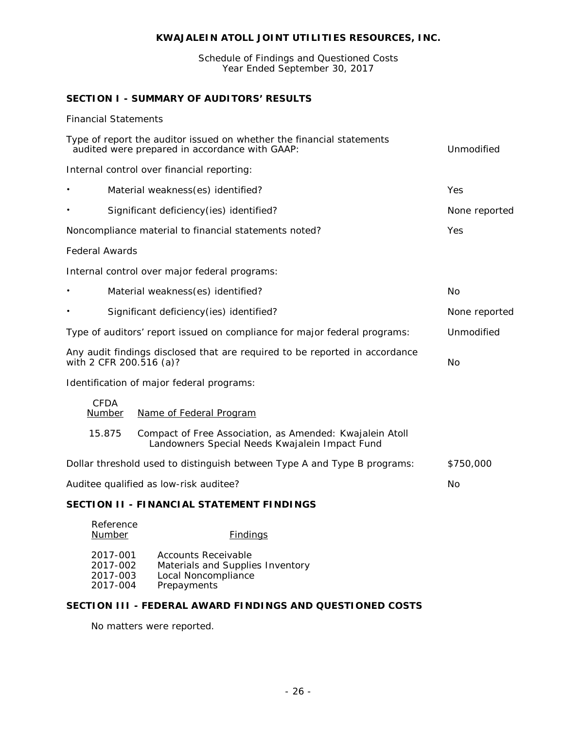Schedule of Findings and Questioned Costs Year Ended September 30, 2017

## **SECTION I - SUMMARY OF AUDITORS' RESULTS**

## *Financial Statements*

| Type of report the auditor issued on whether the financial statements<br>audited were prepared in accordance with GAAP: |                                                                                                                      | Unmodified    |
|-------------------------------------------------------------------------------------------------------------------------|----------------------------------------------------------------------------------------------------------------------|---------------|
|                                                                                                                         | Internal control over financial reporting:                                                                           |               |
| ٠                                                                                                                       | Material weakness(es) identified?                                                                                    | Yes           |
| ٠                                                                                                                       | Significant deficiency(ies) identified?                                                                              | None reported |
| Noncompliance material to financial statements noted?<br>Yes                                                            |                                                                                                                      |               |
|                                                                                                                         | <b>Federal Awards</b>                                                                                                |               |
|                                                                                                                         | Internal control over major federal programs:                                                                        |               |
| Material weakness(es) identified?<br><b>No</b>                                                                          |                                                                                                                      |               |
| Significant deficiency(ies) identified?<br>None reported                                                                |                                                                                                                      |               |
| Unmodified<br>Type of auditors' report issued on compliance for major federal programs:                                 |                                                                                                                      |               |
| Any audit findings disclosed that are required to be reported in accordance<br>with 2 CFR 200.516 (a)?                  |                                                                                                                      | <b>No</b>     |
|                                                                                                                         | Identification of major federal programs:                                                                            |               |
|                                                                                                                         | CEDA<br>Number<br>Name of Federal Program                                                                            |               |
|                                                                                                                         | 15.875<br>Compact of Free Association, as Amended: Kwajalein Atoll<br>Landowners Special Needs Kwajalein Impact Fund |               |
| Dollar threshold used to distinguish between Type A and Type B programs:                                                |                                                                                                                      | \$750,000     |
| Auditee qualified as low-risk auditee?<br>No                                                                            |                                                                                                                      |               |
| SECTION II - FINANCIAL STATEMENT FINDINGS                                                                               |                                                                                                                      |               |
|                                                                                                                         | Reference                                                                                                            |               |

| kelel elice<br>Number | <b>Findings</b>                  |
|-----------------------|----------------------------------|
| 2017-001              | Accounts Receivable              |
| 2017-002              | Materials and Supplies Inventory |
| 2017-003              | Local Noncompliance              |
| 2017-004              | Prepayments                      |

## **SECTION III - FEDERAL AWARD FINDINGS AND QUESTIONED COSTS**

No matters were reported.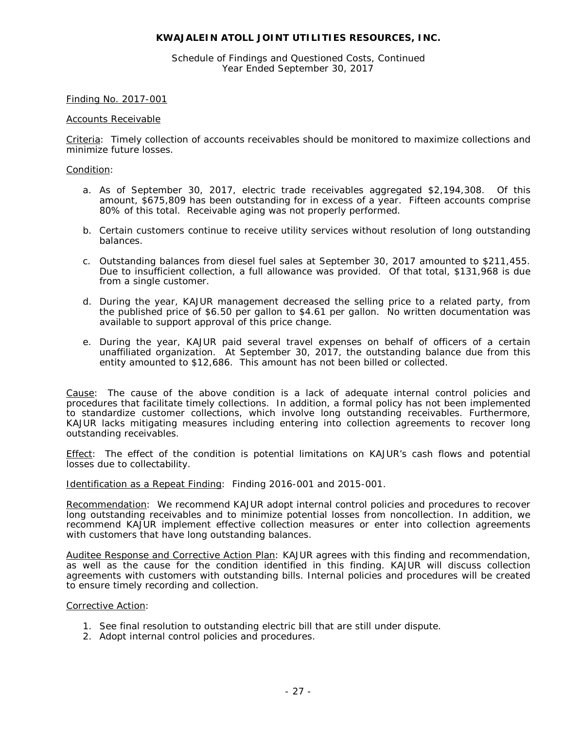Schedule of Findings and Questioned Costs, Continued Year Ended September 30, 2017

#### Finding No. 2017-001

#### Accounts Receivable

Criteria: Timely collection of accounts receivables should be monitored to maximize collections and minimize future losses.

#### Condition:

- a. As of September 30, 2017, electric trade receivables aggregated \$2,194,308. Of this amount, \$675,809 has been outstanding for in excess of a year. Fifteen accounts comprise 80% of this total. Receivable aging was not properly performed.
- b. Certain customers continue to receive utility services without resolution of long outstanding balances.
- c. Outstanding balances from diesel fuel sales at September 30, 2017 amounted to \$211,455. Due to insufficient collection, a full allowance was provided. Of that total, \$131,968 is due from a single customer.
- d. During the year, KAJUR management decreased the selling price to a related party, from the published price of \$6.50 per gallon to \$4.61 per gallon. No written documentation was available to support approval of this price change.
- e. During the year, KAJUR paid several travel expenses on behalf of officers of a certain unaffiliated organization. At September 30, 2017, the outstanding balance due from this entity amounted to \$12,686. This amount has not been billed or collected.

Cause: The cause of the above condition is a lack of adequate internal control policies and procedures that facilitate timely collections. In addition, a formal policy has not been implemented to standardize customer collections, which involve long outstanding receivables. Furthermore, KAJUR lacks mitigating measures including entering into collection agreements to recover long outstanding receivables.

Effect: The effect of the condition is potential limitations on KAJUR's cash flows and potential losses due to collectability.

#### Identification as a Repeat Finding: Finding 2016-001 and 2015-001.

Recommendation: We recommend KAJUR adopt internal control policies and procedures to recover long outstanding receivables and to minimize potential losses from noncollection. In addition, we recommend KAJUR implement effective collection measures or enter into collection agreements with customers that have long outstanding balances.

Auditee Response and Corrective Action Plan: KAJUR agrees with this finding and recommendation, as well as the cause for the condition identified in this finding. KAJUR will discuss collection agreements with customers with outstanding bills. Internal policies and procedures will be created to ensure timely recording and collection.

#### Corrective Action:

- 1. See final resolution to outstanding electric bill that are still under dispute.
- 2. Adopt internal control policies and procedures.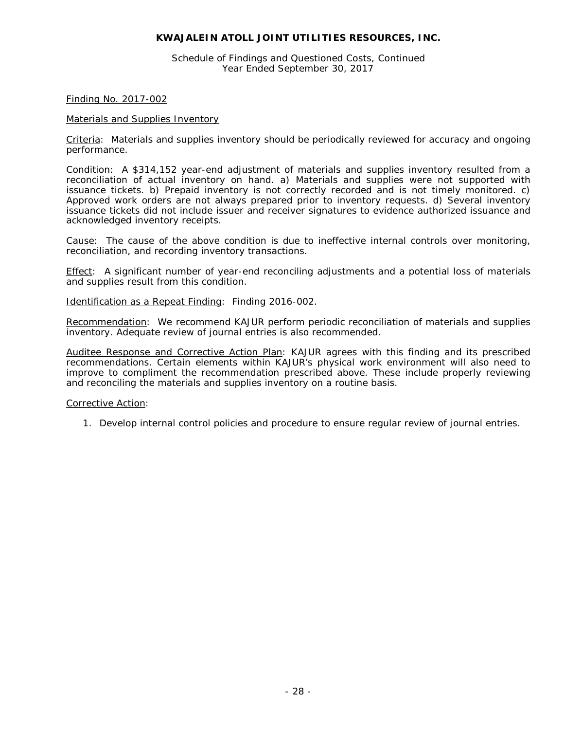Schedule of Findings and Questioned Costs, Continued Year Ended September 30, 2017

#### Finding No. 2017-002

#### Materials and Supplies Inventory

Criteria: Materials and supplies inventory should be periodically reviewed for accuracy and ongoing performance.

Condition: A \$314,152 year-end adjustment of materials and supplies inventory resulted from a reconciliation of actual inventory on hand. a) Materials and supplies were not supported with issuance tickets. b) Prepaid inventory is not correctly recorded and is not timely monitored. c) Approved work orders are not always prepared prior to inventory requests. d) Several inventory issuance tickets did not include issuer and receiver signatures to evidence authorized issuance and acknowledged inventory receipts.

Cause: The cause of the above condition is due to ineffective internal controls over monitoring, reconciliation, and recording inventory transactions.

Effect: A significant number of year-end reconciling adjustments and a potential loss of materials and supplies result from this condition.

Identification as a Repeat Finding: Finding 2016-002.

Recommendation: We recommend KAJUR perform periodic reconciliation of materials and supplies inventory. Adequate review of journal entries is also recommended.

Auditee Response and Corrective Action Plan: KAJUR agrees with this finding and its prescribed recommendations. Certain elements within KAJUR's physical work environment will also need to improve to compliment the recommendation prescribed above. These include properly reviewing and reconciling the materials and supplies inventory on a routine basis.

#### Corrective Action:

1. Develop internal control policies and procedure to ensure regular review of journal entries.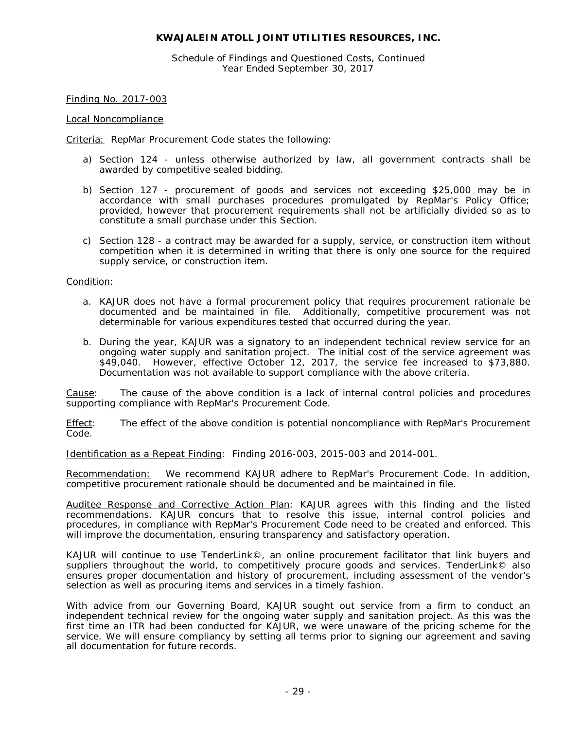Schedule of Findings and Questioned Costs, Continued Year Ended September 30, 2017

Finding No. 2017-003

#### Local Noncompliance

Criteria: RepMar Procurement Code states the following:

- a) Section 124 unless otherwise authorized by law, all government contracts shall be awarded by competitive sealed bidding.
- b) Section 127 procurement of goods and services not exceeding \$25,000 may be in accordance with small purchases procedures promulgated by RepMar's Policy Office; provided, however that procurement requirements shall not be artificially divided so as to constitute a small purchase under this Section.
- c) Section 128 a contract may be awarded for a supply, service, or construction item without competition when it is determined in writing that there is only one source for the required supply service, or construction item.

#### Condition:

- a. KAJUR does not have a formal procurement policy that requires procurement rationale be documented and be maintained in file. Additionally, competitive procurement was not determinable for various expenditures tested that occurred during the year.
- b. During the year, KAJUR was a signatory to an independent technical review service for an ongoing water supply and sanitation project. The initial cost of the service agreement was \$49,040. However, effective October 12, 2017, the service fee increased to \$73,880. Documentation was not available to support compliance with the above criteria.

Cause: The cause of the above condition is a lack of internal control policies and procedures supporting compliance with RepMar's Procurement Code.

Effect: The effect of the above condition is potential noncompliance with RepMar's Procurement Code.

Identification as a Repeat Finding: Finding 2016-003, 2015-003 and 2014-001.

Recommendation: We recommend KAJUR adhere to RepMar's Procurement Code. In addition, competitive procurement rationale should be documented and be maintained in file.

Auditee Response and Corrective Action Plan: KAJUR agrees with this finding and the listed recommendations. KAJUR concurs that to resolve this issue, internal control policies and procedures, in compliance with RepMar's Procurement Code need to be created and enforced. This will improve the documentation, ensuring transparency and satisfactory operation.

KAJUR will continue to use TenderLink©, an online procurement facilitator that link buyers and suppliers throughout the world, to competitively procure goods and services. TenderLink© also ensures proper documentation and history of procurement, including assessment of the vendor's selection as well as procuring items and services in a timely fashion.

With advice from our Governing Board, KAJUR sought out service from a firm to conduct an independent technical review for the ongoing water supply and sanitation project. As this was the first time an ITR had been conducted for KAJUR, we were unaware of the pricing scheme for the service. We will ensure compliancy by setting all terms prior to signing our agreement and saving all documentation for future records.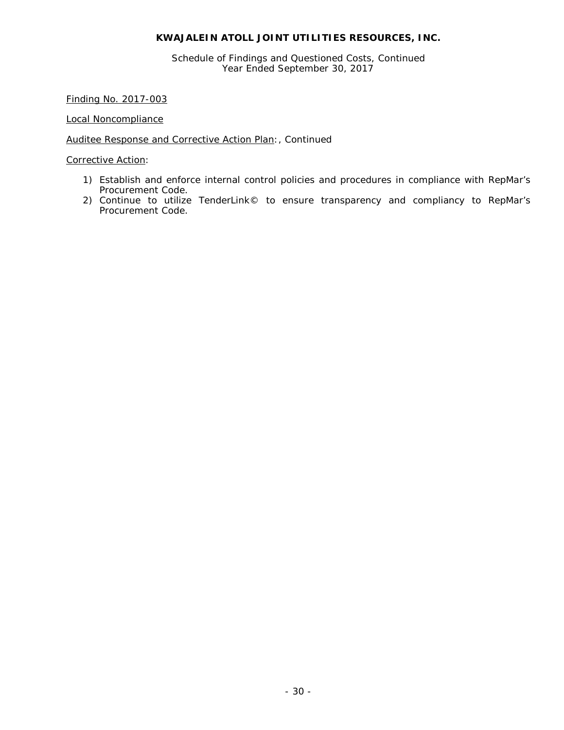Schedule of Findings and Questioned Costs, Continued Year Ended September 30, 2017

Finding No. 2017-003

Local Noncompliance

## Auditee Response and Corrective Action Plan:, Continued

Corrective Action:

- 1) Establish and enforce internal control policies and procedures in compliance with RepMar's Procurement Code.
- 2) Continue to utilize TenderLink© to ensure transparency and compliancy to RepMar's Procurement Code.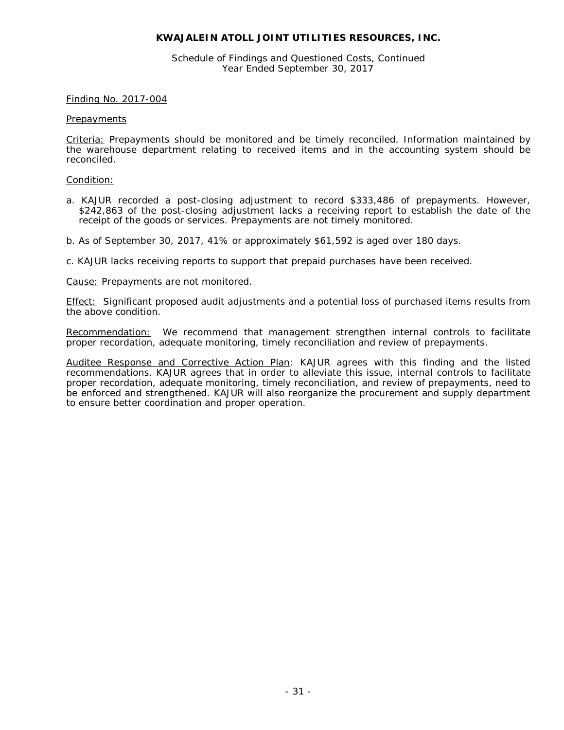Schedule of Findings and Questioned Costs, Continued Year Ended September 30, 2017

#### Finding No. 2017-004

#### **Prepayments**

Criteria: Prepayments should be monitored and be timely reconciled. Information maintained by the warehouse department relating to received items and in the accounting system should be reconciled.

#### Condition:

- a. KAJUR recorded a post-closing adjustment to record \$333,486 of prepayments. However, \$242,863 of the post-closing adjustment lacks a receiving report to establish the date of the receipt of the goods or services. Prepayments are not timely monitored.
- b. As of September 30, 2017, 41% or approximately \$61,592 is aged over 180 days.

c. KAJUR lacks receiving reports to support that prepaid purchases have been received.

Cause: Prepayments are not monitored.

Effect: Significant proposed audit adjustments and a potential loss of purchased items results from the above condition.

Recommendation: We recommend that management strengthen internal controls to facilitate proper recordation, adequate monitoring, timely reconciliation and review of prepayments.

Auditee Response and Corrective Action Plan: KAJUR agrees with this finding and the listed recommendations. KAJUR agrees that in order to alleviate this issue, internal controls to facilitate proper recordation, adequate monitoring, timely reconciliation, and review of prepayments, need to be enforced and strengthened. KAJUR will also reorganize the procurement and supply department to ensure better coordination and proper operation.